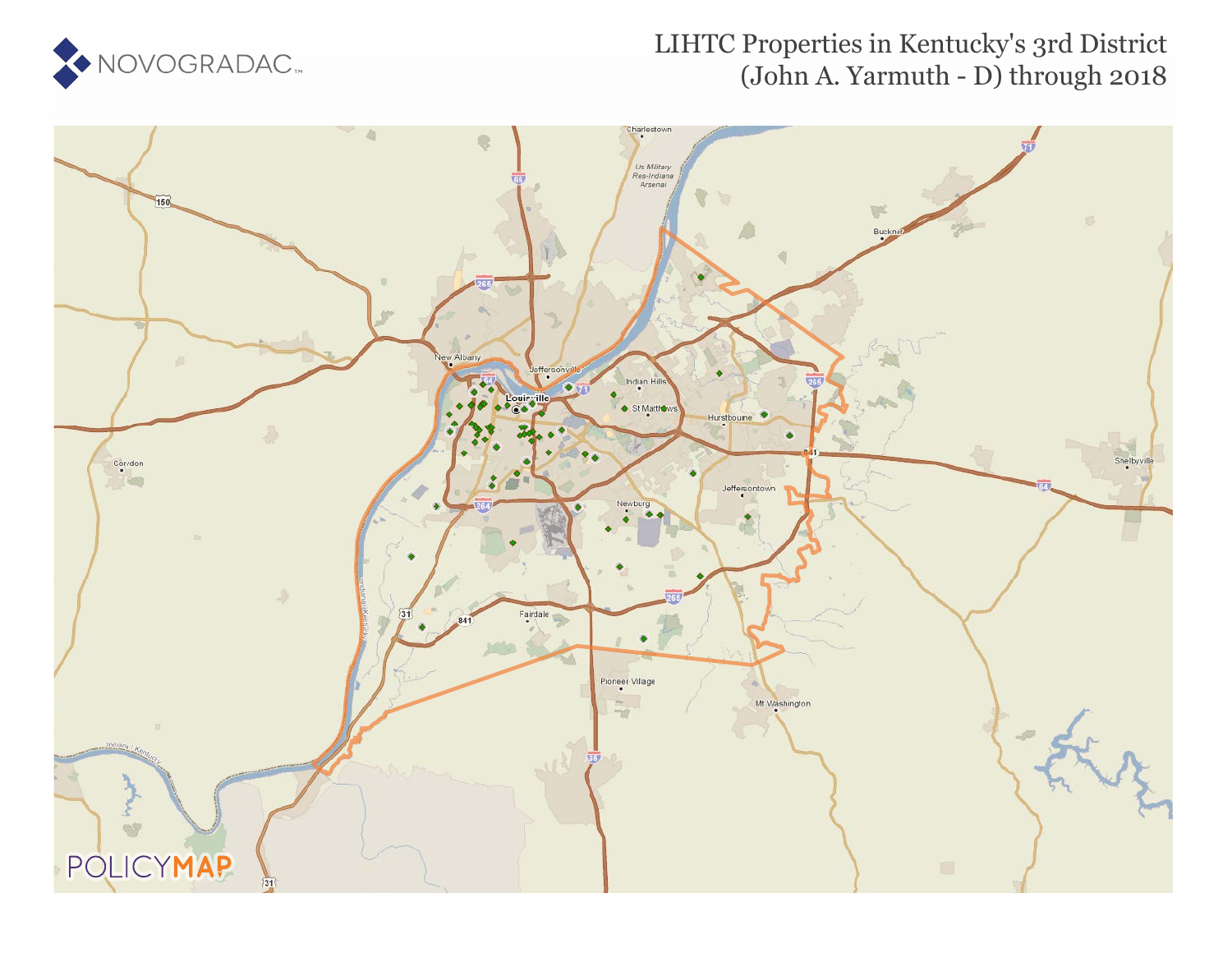

#### LIHTC Properties in Kentucky's 3rd District (John A. Yarmuth - D) through 2018

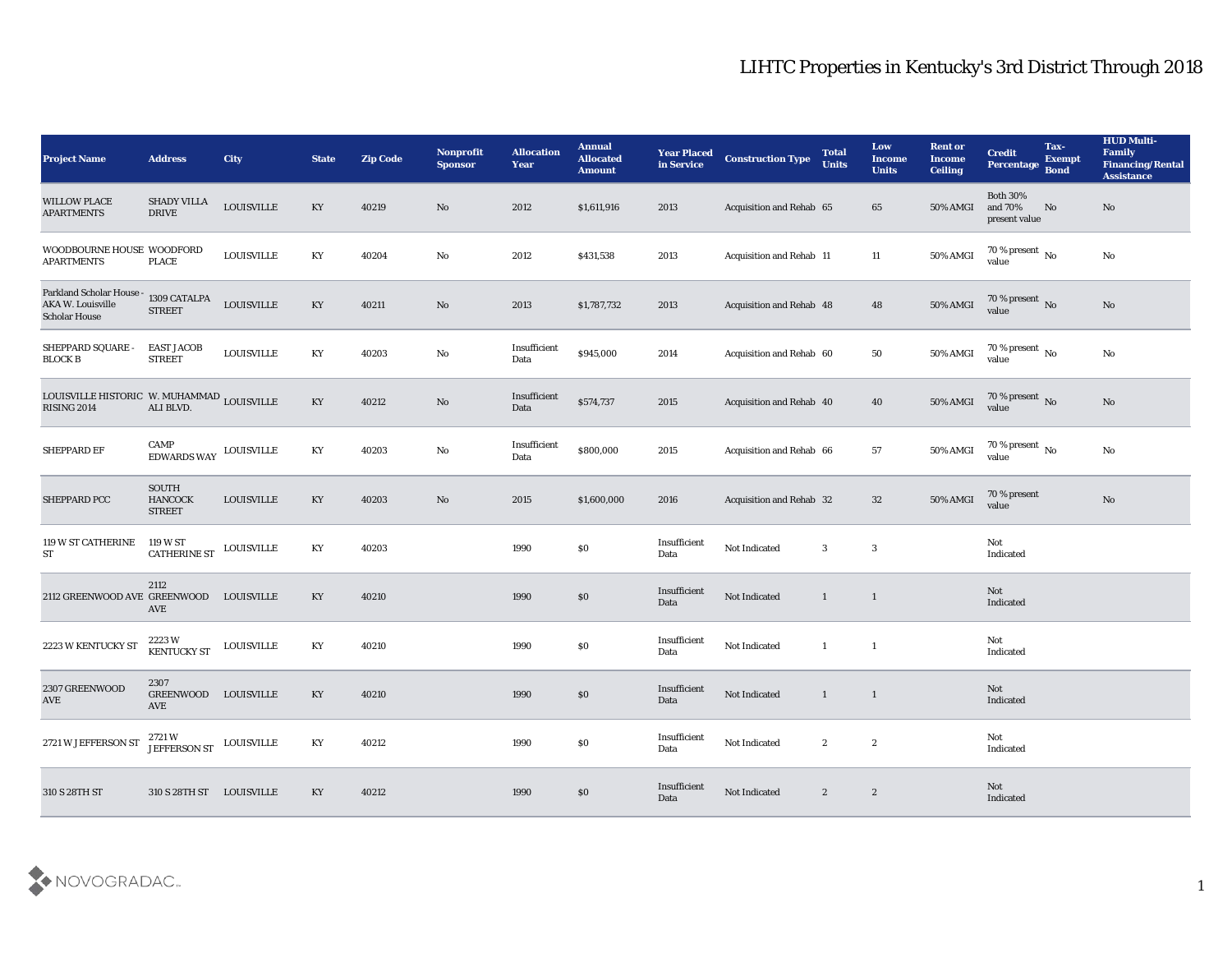| <b>Project Name</b>                                                          | <b>Address</b>                                  | <b>City</b>       | <b>State</b>           | <b>Zip Code</b> | Nonprofit<br><b>Sponsor</b> | <b>Allocation</b><br><b>Year</b> | <b>Annual</b><br><b>Allocated</b><br><b>Amount</b> | <b>Year Placed</b><br>in Service | <b>Construction Type</b> | <b>Total</b><br><b>Units</b> | Low<br><b>Income</b><br><b>Units</b> | <b>Rent or</b><br><b>Income</b><br><b>Ceiling</b> | <b>Credit</b><br>Percentage Bond               | Tax-<br><b>Exempt</b> | <b>HUD Multi-</b><br>Family<br><b>Financing/Rental</b><br><b>Assistance</b> |
|------------------------------------------------------------------------------|-------------------------------------------------|-------------------|------------------------|-----------------|-----------------------------|----------------------------------|----------------------------------------------------|----------------------------------|--------------------------|------------------------------|--------------------------------------|---------------------------------------------------|------------------------------------------------|-----------------------|-----------------------------------------------------------------------------|
| <b>WILLOW PLACE</b><br><b>APARTMENTS</b>                                     | <b>SHADY VILLA</b><br><b>DRIVE</b>              | <b>LOUISVILLE</b> | $\mathbf{K}\mathbf{Y}$ | 40219           | No                          | 2012                             | \$1,611,916                                        | 2013                             | Acquisition and Rehab 65 |                              | 65                                   | <b>50% AMGI</b>                                   | <b>Both 30%</b><br>and $70\%$<br>present value | No                    | No                                                                          |
| WOODBOURNE HOUSE WOODFORD<br><b>APARTMENTS</b>                               | <b>PLACE</b>                                    | <b>LOUISVILLE</b> | KY                     | 40204           | No                          | 2012                             | \$431,538                                          | 2013                             | Acquisition and Rehab 11 |                              | 11                                   | 50% AMGI                                          | 70 % present $\,$ No $\,$<br>value             |                       | No                                                                          |
| Parkland Scholar House -<br><b>AKA W. Louisville</b><br><b>Scholar House</b> | $1309$ CATALPA $\,$<br><b>STREET</b>            | <b>LOUISVILLE</b> | KY                     | 40211           | No                          | 2013                             | \$1,787,732                                        | 2013                             | Acquisition and Rehab 48 |                              | 48                                   | 50% AMGI                                          | 70 % present No<br>value                       |                       | No                                                                          |
| SHEPPARD SQUARE -<br><b>BLOCK B</b>                                          | <b>EAST JACOB</b><br><b>STREET</b>              | <b>LOUISVILLE</b> | KY                     | 40203           | $\mathbf {No}$              | Insufficient<br>Data             | \$945,000                                          | 2014                             | Acquisition and Rehab 60 |                              | 50                                   | 50% AMGI                                          | $70\,\%$ present $\,$ No value                 |                       | No                                                                          |
| LOUISVILLE HISTORIC W. MUHAMMAD LOUISVILLE<br><b>RISING 2014</b>             | ALI BLVD.                                       |                   | KY                     | 40212           | $\mathbf{N}\mathbf{o}$      | Insufficient<br>Data             | \$574,737                                          | 2015                             | Acquisition and Rehab 40 |                              | 40                                   | 50% AMGI                                          | 70 % present No<br>value                       |                       | No                                                                          |
| SHEPPARD EF                                                                  | CAMP<br>$\,$ EDWARDS WAY $\,$ LOUISVILLE        |                   | KY                     | 40203           | No                          | Insufficient<br>Data             | \$800,000                                          | 2015                             | Acquisition and Rehab 66 |                              | 57                                   | 50% AMGI                                          | $70\,\%$ present $\,$ No value                 |                       | No                                                                          |
| SHEPPARD PCC                                                                 | <b>SOUTH</b><br><b>HANCOCK</b><br><b>STREET</b> | <b>LOUISVILLE</b> | KY                     | 40203           | No                          | 2015                             | \$1,600,000                                        | 2016                             | Acquisition and Rehab 32 |                              | 32                                   | 50% AMGI                                          | 70 % present<br>value                          |                       | $\rm\thinspace No$                                                          |
| 119 W ST CATHERINE<br>ST                                                     | 119 W ST<br><b>CATHERINE ST</b>                 | LOUISVILLE        | KY                     | 40203           |                             | 1990                             | \$0                                                | Insufficient<br>Data             | Not Indicated            | 3                            | $\mathbf{3}$                         |                                                   | Not<br>Indicated                               |                       |                                                                             |
| 2112 GREENWOOD AVE GREENWOOD                                                 | 2112<br>AVE                                     | LOUISVILLE        | KY                     | 40210           |                             | 1990                             | \$0                                                | Insufficient<br>Data             | Not Indicated            | $\mathbf{1}$                 | $\mathbf{1}$                         |                                                   | Not<br>Indicated                               |                       |                                                                             |
| 2223 W KENTUCKY ST                                                           | 2223 W<br><b>KENTUCKY ST</b>                    | <b>LOUISVILLE</b> | KY                     | 40210           |                             | 1990                             | \$0                                                | Insufficient<br>Data             | Not Indicated            | $\mathbf{1}$                 | -1                                   |                                                   | Not<br>Indicated                               |                       |                                                                             |
| 2307 GREENWOOD<br><b>AVE</b>                                                 | 2307<br><b>GREENWOOD</b><br>AVE                 | <b>LOUISVILLE</b> | KY                     | 40210           |                             | 1990                             | \$0                                                | Insufficient<br>Data             | Not Indicated            | $\mathbf{1}$                 | -1                                   |                                                   | Not<br>Indicated                               |                       |                                                                             |
| 2721 W JEFFERSON ST                                                          | $2721\,\mathrm{W}$ $$\tt LCUISVILLE$$           |                   | $\mathbf{K}\mathbf{Y}$ | 40212           |                             | 1990                             | $\$0$                                              | Insufficient<br>Data             | Not Indicated            | $\mathbf{2}$                 | $\boldsymbol{2}$                     |                                                   | Not<br>Indicated                               |                       |                                                                             |
| 310 S 28TH ST                                                                | 310 S 28TH ST LOUISVILLE                        |                   | KY                     | 40212           |                             | 1990                             | \$0                                                | Insufficient<br>Data             | Not Indicated            | $\mathbf{2}$                 | $\mathbf{2}$                         |                                                   | Not<br>Indicated                               |                       |                                                                             |

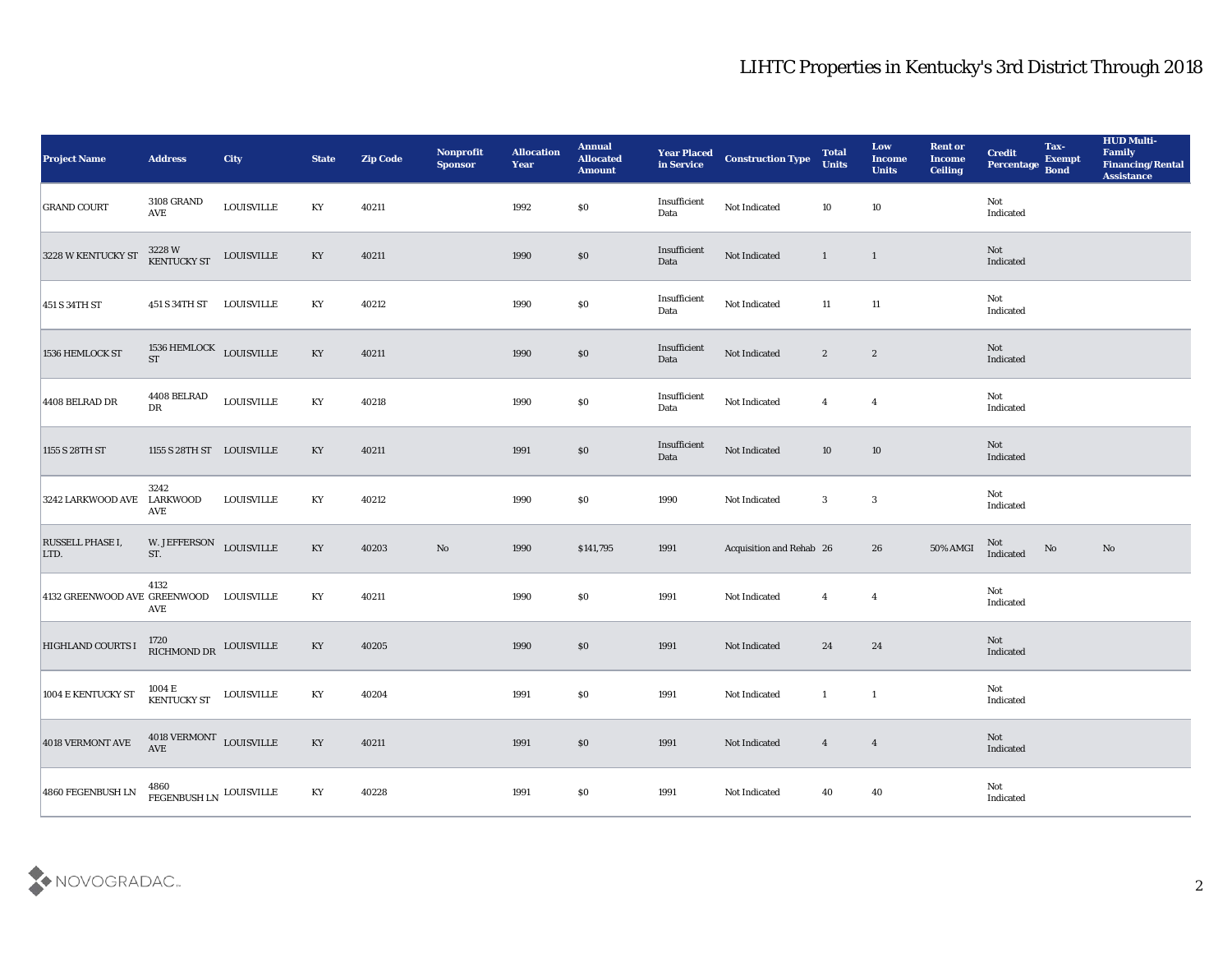| <b>Project Name</b>          | <b>Address</b>                                   | City               | <b>State</b>           | <b>Zip Code</b> | Nonprofit<br><b>Sponsor</b> | <b>Allocation</b><br><b>Year</b> | <b>Annual</b><br><b>Allocated</b><br><b>Amount</b> | <b>Year Placed<br/>in Service</b> | <b>Construction Type</b> | <b>Total</b><br><b>Units</b>               | Low<br><b>Income</b><br><b>Units</b> | <b>Rent or</b><br><b>Income</b><br><b>Ceiling</b> | <b>Credit</b><br>Percentage           | Tax-<br><b>Exempt</b><br><b>Bond</b> | <b>HUD Multi-</b><br>Family<br><b>Financing/Rental</b><br><b>Assistance</b> |
|------------------------------|--------------------------------------------------|--------------------|------------------------|-----------------|-----------------------------|----------------------------------|----------------------------------------------------|-----------------------------------|--------------------------|--------------------------------------------|--------------------------------------|---------------------------------------------------|---------------------------------------|--------------------------------------|-----------------------------------------------------------------------------|
| <b>GRAND COURT</b>           | <b>3108 GRAND</b><br>$\operatorname{AVE}$        | ${\tt LOUISVILLE}$ | KY                     | 40211           |                             | 1992                             | \$0                                                | Insufficient<br>Data              | Not Indicated            | 10                                         | 10                                   |                                                   | Not<br>Indicated                      |                                      |                                                                             |
| 3228 W KENTUCKY ST           | 3228 W<br>KENTUCKY ST                            | ${\tt LOUISVILLE}$ | KY                     | 40211           |                             | 1990                             | $\$0$                                              | Insufficient<br>Data              | Not Indicated            | $\mathbf{1}$                               | $\mathbf{1}$                         |                                                   | Not<br>Indicated                      |                                      |                                                                             |
| 451 S 34TH ST                | 451 S 34TH ST                                    | LOUISVILLE         | KY                     | 40212           |                             | 1990                             | \$0                                                | Insufficient<br>Data              | Not Indicated            | 11                                         | 11                                   |                                                   | Not<br>Indicated                      |                                      |                                                                             |
| 1536 HEMLOCK ST              | $1536\text{ HEMLOCK}\quad\text{LOUISVILLE}\quad$ |                    | KY                     | 40211           |                             | 1990                             | $\$0$                                              | Insufficient<br>Data              | Not Indicated            | $\boldsymbol{2}$                           | $\boldsymbol{2}$                     |                                                   | Not<br>Indicated                      |                                      |                                                                             |
| 4408 BELRAD DR               | $4408$ BELRAD<br>$\mathbf{D}\mathbf{R}$          | <b>LOUISVILLE</b>  | KY                     | 40218           |                             | 1990                             | \$0                                                | Insufficient<br>Data              | Not Indicated            | $\overline{4}$                             | $\overline{\mathbf{4}}$              |                                                   | Not<br>Indicated                      |                                      |                                                                             |
| 1155 S 28TH ST               | 1155 S 28TH ST LOUISVILLE                        |                    | KY                     | 40211           |                             | 1991                             | \$0                                                | Insufficient<br>Data              | Not Indicated            | 10                                         | 10                                   |                                                   | Not<br>Indicated                      |                                      |                                                                             |
| 3242 LARKWOOD AVE LARKWOOD   | 3242<br>AVE                                      | <b>LOUISVILLE</b>  | KY                     | 40212           |                             | 1990                             | \$0                                                | 1990                              | Not Indicated            | $\mathbf{3}$                               | 3                                    |                                                   | Not<br>Indicated                      |                                      |                                                                             |
| RUSSELL PHASE I,<br>LTD.     | W. JEFFERSON LOUISVILLE<br>ST.                   |                    | $\mathbf{K}\mathbf{Y}$ | 40203           | $\mathbf {No}$              | 1990                             | \$141,795                                          | 1991                              | Acquisition and Rehab 26 |                                            | 26                                   | 50% AMGI                                          | Not<br>Indicated                      | $\rm No$                             | No                                                                          |
| 4132 GREENWOOD AVE GREENWOOD | 4132<br>AVE                                      | LOUISVILLE         | KY                     | 40211           |                             | 1990                             | \$0\$                                              | 1991                              | Not Indicated            | $\overline{4}$                             | $\overline{4}$                       |                                                   | Not<br>Indicated                      |                                      |                                                                             |
| HIGHLAND COURTS I            | $^{1720}_{\rm RICHMOND\,DR}$ LOUISVILLE          |                    | KY                     | 40205           |                             | 1990                             | \$0\$                                              | 1991                              | Not Indicated            | 24                                         | 24                                   |                                                   | Not<br>Indicated                      |                                      |                                                                             |
| 1004 E KENTUCKY ST           | 1004 E<br><b>KENTUCKY ST</b>                     | LOUISVILLE         | KY                     | 40204           |                             | 1991                             | \$0                                                | 1991                              | Not Indicated            | $\mathbf{1}$                               | $\mathbf{1}$                         |                                                   | Not<br>Indicated                      |                                      |                                                                             |
| 4018 VERMONT AVE             | 4018 VERMONT LOUISVILLE<br>$\operatorname{AVE}$  |                    | $\mathbf{K}\mathbf{Y}$ | 40211           |                             | 1991                             | $\$0$                                              | 1991                              | Not Indicated            | $\overline{4}$<br>$\overline{\phantom{a}}$ |                                      |                                                   | $\operatorname{\bf Not}$<br>Indicated |                                      |                                                                             |
| 4860 FEGENBUSH LN            | $4860$ $$\,{\rm EGENBUSH\,LN}\,$ LOUISVILLE      |                    | $\mathbf{K}\mathbf{Y}$ | 40228           |                             | 1991                             | $\$0$                                              | 1991                              | Not Indicated            | 40                                         | 40                                   |                                                   | Not<br>Indicated                      |                                      |                                                                             |

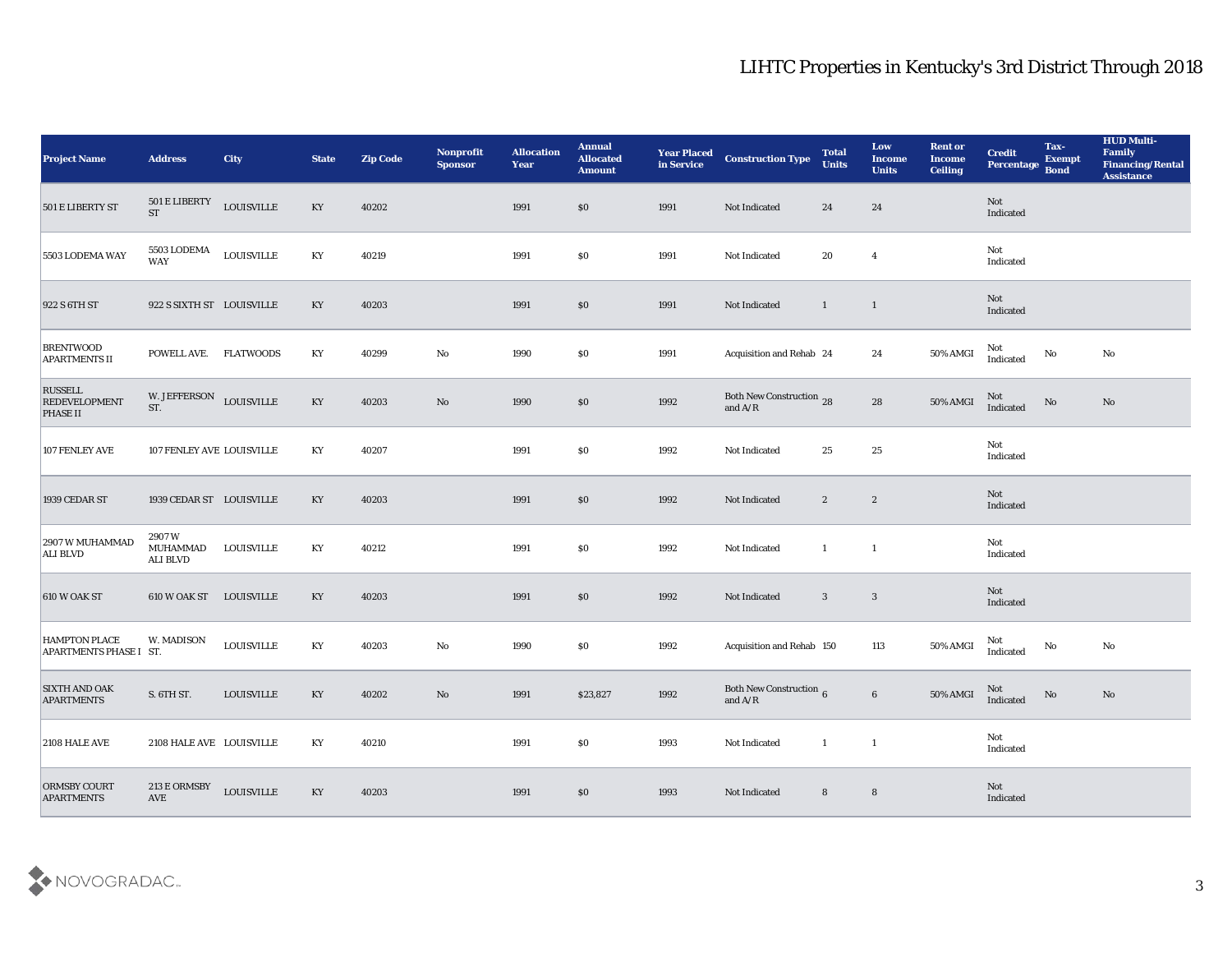| <b>Project Name</b>                                       | <b>Address</b>                       | <b>City</b>        | <b>State</b>           | <b>Zip Code</b> | Nonprofit<br><b>Sponsor</b> | <b>Allocation</b><br>Year | <b>Annual</b><br><b>Allocated</b><br><b>Amount</b> | <b>Year Placed</b><br>in Service | <b>Construction Type</b>                                                                       | <b>Total</b><br><b>Units</b> | Low<br><b>Income</b><br><b>Units</b> | <b>Rent or</b><br><b>Income</b><br><b>Ceiling</b> | <b>Credit</b><br>Percentage | Tax-<br><b>Exempt</b><br><b>Bond</b> | <b>HUD Multi-</b><br>Family<br><b>Financing/Rental</b><br><b>Assistance</b> |
|-----------------------------------------------------------|--------------------------------------|--------------------|------------------------|-----------------|-----------------------------|---------------------------|----------------------------------------------------|----------------------------------|------------------------------------------------------------------------------------------------|------------------------------|--------------------------------------|---------------------------------------------------|-----------------------------|--------------------------------------|-----------------------------------------------------------------------------|
| 501 E LIBERTY ST                                          | 501 E LIBERTY<br>ST                  | <b>LOUISVILLE</b>  | KY                     | 40202           |                             | 1991                      | \$0                                                | 1991                             | Not Indicated                                                                                  | 24                           | 24                                   |                                                   | Not<br>Indicated            |                                      |                                                                             |
| 5503 LODEMA WAY                                           | 5503 LODEMA<br>WAY                   | ${\tt LOUISVILLE}$ | KY                     | 40219           |                             | 1991                      | $\$0$                                              | 1991                             | Not Indicated                                                                                  | 20                           | $\overline{\mathbf{4}}$              |                                                   | Not<br>Indicated            |                                      |                                                                             |
| 922 S 6TH ST                                              | 922 S SIXTH ST LOUISVILLE            |                    | KY                     | 40203           |                             | 1991                      | $\$0$                                              | 1991                             | Not Indicated                                                                                  | $\mathbf{1}$                 | $\overline{1}$                       |                                                   | Not<br>Indicated            |                                      |                                                                             |
| <b>BRENTWOOD</b><br><b>APARTMENTS II</b>                  | POWELL AVE.                          | <b>FLATWOODS</b>   | KY                     | 40299           | $\mathbf {No}$              | 1990                      | $\$0$                                              | 1991                             | Acquisition and Rehab 24                                                                       |                              | 24                                   | 50% AMGI                                          | Not<br>Indicated            | $\mathbf{N}\mathbf{o}$               | $\rm\thinspace No$                                                          |
| <b>RUSSELL</b><br><b>REDEVELOPMENT</b><br><b>PHASE II</b> | W. JEFFERSON LOUISVILLE<br>ST.       |                    | $\mathbf{K}\mathbf{Y}$ | 40203           | $\mathbf{N}\mathbf{o}$      | 1990                      | \$0                                                | 1992                             | Both New Construction 28<br>and $A/R$                                                          |                              | 28                                   | 50% AMGI                                          | Not<br>Indicated            | No                                   | No                                                                          |
| 107 FENLEY AVE                                            | 107 FENLEY AVE LOUISVILLE            |                    | KY                     | 40207           |                             | 1991                      | $\$0$                                              | 1992                             | Not Indicated                                                                                  | 25                           | 25                                   |                                                   | Not<br>Indicated            |                                      |                                                                             |
| 1939 CEDAR ST                                             | 1939 CEDAR ST LOUISVILLE             |                    | KY                     | 40203           |                             | 1991                      | $\$0$                                              | 1992                             | Not Indicated                                                                                  | $\mathbf{2}$                 | $\boldsymbol{2}$                     |                                                   | Not<br>Indicated            |                                      |                                                                             |
| 2907 W MUHAMMAD<br><b>ALI BLVD</b>                        | 2907W<br><b>MUHAMMAD</b><br>ALI BLVD | <b>LOUISVILLE</b>  | KY                     | 40212           |                             | 1991                      | \$0                                                | 1992                             | Not Indicated                                                                                  | $\mathbf{1}$                 | $\mathbf{1}$                         |                                                   | Not<br>Indicated            |                                      |                                                                             |
| 610 W OAK ST                                              | 610 W OAK ST                         | LOUISVILLE         | KY                     | 40203           |                             | 1991                      | $\$0$                                              | 1992                             | Not Indicated                                                                                  | $\mathbf{3}$                 | $\mathbf{3}$                         |                                                   | Not<br>Indicated            |                                      |                                                                             |
| HAMPTON PLACE<br>APARTMENTS PHASE I ST.                   | W. MADISON                           | <b>LOUISVILLE</b>  | KY                     | 40203           | $\mathbf{No}$               | 1990                      | $\$0$                                              | 1992                             | Acquisition and Rehab 150                                                                      |                              | 113                                  | 50% AMGI                                          | Not<br>Indicated            | $\mathbf {No}$                       | No                                                                          |
| <b>SIXTH AND OAK</b><br><b>APARTMENTS</b>                 | S. 6TH ST.                           | <b>LOUISVILLE</b>  | KY                     | 40202           | No                          | 1991                      | \$23,827                                           | 1992                             | Both New Construction 6<br>and $\ensuremath{\mathrm{A}}\xspace/\ensuremath{\mathrm{R}}\xspace$ |                              | $6\phantom{.0}$                      | $50\%$ AMGI                                       | Not<br>Indicated            | No                                   | No                                                                          |
| 2108 HALE AVE                                             | 2108 HALE AVE LOUISVILLE             |                    | KY                     | 40210           |                             | 1991                      | $\$0$                                              | 1993                             | Not Indicated                                                                                  | $\mathbf{1}$                 | $\qquad \qquad 1$                    |                                                   | Not<br>Indicated            |                                      |                                                                             |
| <b>ORMSBY COURT</b><br><b>APARTMENTS</b>                  | 213 E ORMSBY<br>$\operatorname{AVE}$ | ${\tt LOUISVILLE}$ | $\mathbf{K}\mathbf{Y}$ | 40203           |                             | 1991                      | $\$0$                                              | 1993                             | Not Indicated                                                                                  | 8                            | $8\phantom{1}$                       |                                                   | Not<br>Indicated            |                                      |                                                                             |

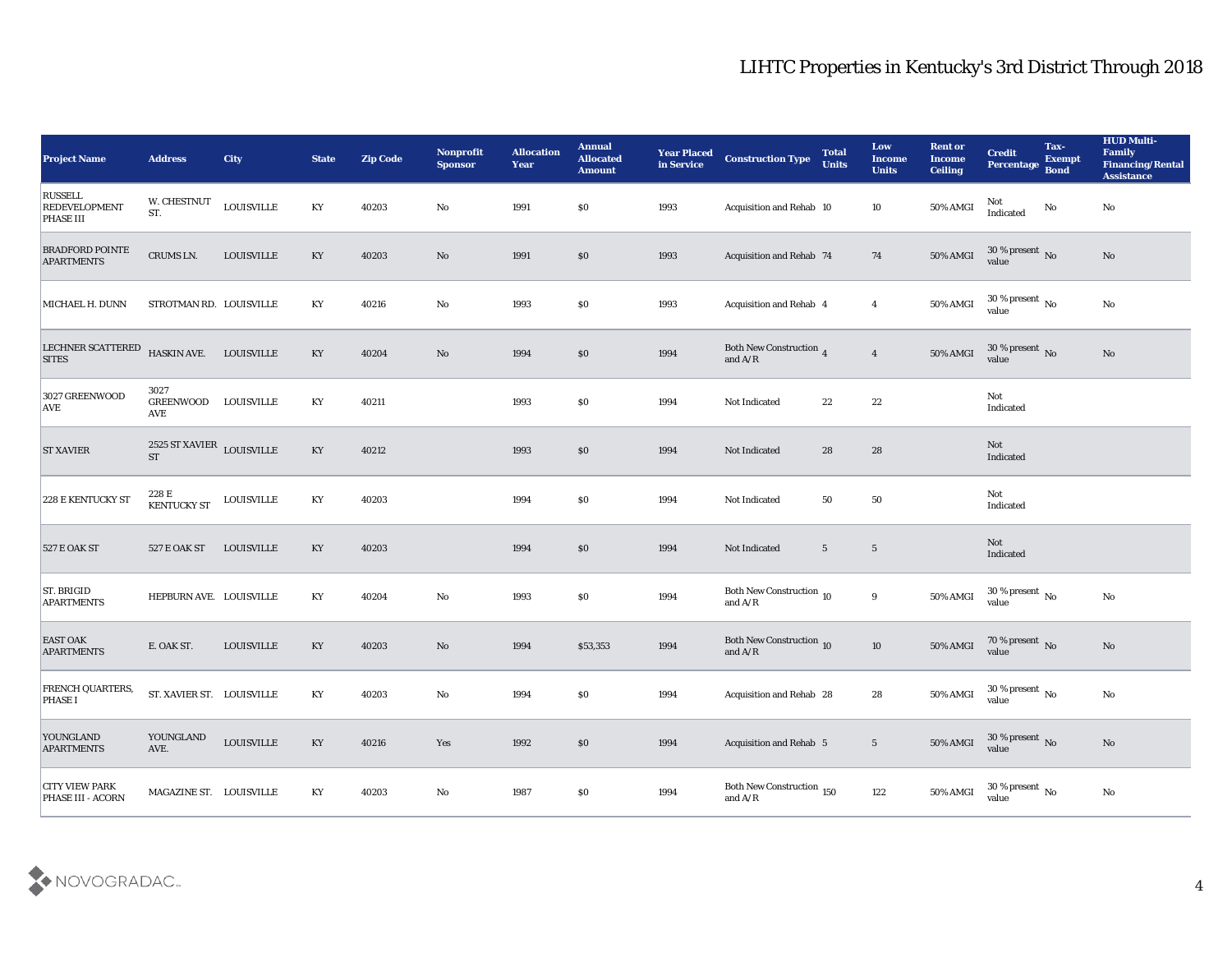| <b>Project Name</b>                                        | <b>Address</b>                                  | <b>City</b>        | <b>State</b>           | <b>Zip Code</b> | Nonprofit<br><b>Sponsor</b> | <b>Allocation</b><br><b>Year</b> | <b>Annual</b><br><b>Allocated</b><br><b>Amount</b> | <b>Year Placed</b><br>in Service | <b>Construction Type</b>                                                                         | <b>Total</b><br><b>Units</b> | Low<br><b>Income</b><br><b>Units</b> | <b>Rent or</b><br><b>Income</b><br><b>Ceiling</b> | <b>Credit</b><br>Percentage Bond                  | Tax-<br><b>Exempt</b> | <b>HUD Multi-</b><br>Family<br><b>Financing/Rental</b><br><b>Assistance</b> |
|------------------------------------------------------------|-------------------------------------------------|--------------------|------------------------|-----------------|-----------------------------|----------------------------------|----------------------------------------------------|----------------------------------|--------------------------------------------------------------------------------------------------|------------------------------|--------------------------------------|---------------------------------------------------|---------------------------------------------------|-----------------------|-----------------------------------------------------------------------------|
| <b>RUSSELL</b><br><b>REDEVELOPMENT</b><br><b>PHASE III</b> | W. CHESTNUT<br>ST.                              | <b>LOUISVILLE</b>  | KY                     | 40203           | No                          | 1991                             | $\$0$                                              | 1993                             | Acquisition and Rehab 10                                                                         |                              | 10                                   | 50% AMGI                                          | Not<br>$\label{lem:indicated} \textbf{Indicated}$ | No                    | No                                                                          |
| <b>BRADFORD POINTE</b><br><b>APARTMENTS</b>                | CRUMS LN.                                       | <b>LOUISVILLE</b>  | KY                     | 40203           | $\mathbf{N}\mathbf{o}$      | 1991                             | \$0                                                | 1993                             | Acquisition and Rehab 74                                                                         |                              | 74                                   | 50% AMGI                                          | $30\,\%$ present $\,$ No value                    |                       | No                                                                          |
| MICHAEL H. DUNN                                            | STROTMAN RD. LOUISVILLE                         |                    | KY                     | 40216           | No                          | 1993                             | \$0                                                | 1993                             | Acquisition and Rehab 4                                                                          |                              | $\overline{4}$                       | 50% AMGI                                          | $30\,\%$ present $\,$ No value                    |                       | No                                                                          |
| <b>LECHNER SCATTERED</b><br><b>SITES</b>                   | <b>HASKIN AVE.</b>                              | <b>LOUISVILLE</b>  | KY                     | 40204           | No                          | 1994                             | \$0                                                | 1994                             | Both New Construction $\,$ 4 and A/R                                                             |                              | $\overline{4}$                       | 50% AMGI                                          | $30\,\%$ present $\,$ No value                    |                       | $\rm\thinspace No$                                                          |
| 3027 GREENWOOD<br> AVE                                     | 3027<br><b>GREENWOOD</b><br>AVE                 | <b>LOUISVILLE</b>  | KY                     | 40211           |                             | 1993                             | $\$0$                                              | 1994                             | Not Indicated                                                                                    | 22                           | 22                                   |                                                   | Not<br>Indicated                                  |                       |                                                                             |
| <b>ST XAVIER</b>                                           | $2525\, \mathrm{ST}$ XAVIER $_{\rm LOUISVILLE}$ |                    | KY                     | 40212           |                             | 1993                             | \$0                                                | 1994                             | Not Indicated                                                                                    | 28                           | 28                                   |                                                   | <b>Not</b><br>Indicated                           |                       |                                                                             |
| 228 E KENTUCKY ST                                          | 228 E<br><b>KENTUCKY ST</b>                     | <b>LOUISVILLE</b>  | KY                     | 40203           |                             | 1994                             | $\$0$                                              | 1994                             | Not Indicated                                                                                    | 50                           | 50                                   |                                                   | Not<br>Indicated                                  |                       |                                                                             |
| <b>527 E OAK ST</b>                                        | <b>527 E OAK ST</b>                             | <b>LOUISVILLE</b>  | KY                     | 40203           |                             | 1994                             | \$0                                                | 1994                             | Not Indicated                                                                                    | 5 <sup>5</sup>               | $\overline{5}$                       |                                                   | Not<br>Indicated                                  |                       |                                                                             |
| ST. BRIGID<br><b>APARTMENTS</b>                            | HEPBURN AVE. LOUISVILLE                         |                    | KY                     | 40204           | No                          | 1993                             | $\$0$                                              | 1994                             | Both New Construction 10<br>and $A/R$                                                            |                              | 9                                    | 50% AMGI                                          | $30\,\%$ present $\,$ No value                    |                       | No                                                                          |
| <b>EAST OAK</b><br><b>APARTMENTS</b>                       | E. OAK ST.                                      | <b>LOUISVILLE</b>  | KY                     | 40203           | No                          | 1994                             | \$53,353                                           | 1994                             | Both New Construction 10<br>and $A/R$                                                            |                              | 10                                   | 50% AMGI                                          | $70\,\%$ present $\,$ No value                    |                       | No                                                                          |
| <b>FRENCH QUARTERS,</b><br><b>PHASE I</b>                  | ST. XAVIER ST. LOUISVILLE                       |                    | KY                     | 40203           | No                          | 1994                             | $\$0$                                              | 1994                             | Acquisition and Rehab 28                                                                         |                              | 28                                   | 50% AMGI                                          | $30\,\%$ present $\,$ No $\,$<br>value            |                       | No                                                                          |
| YOUNGLAND<br><b>APARTMENTS</b>                             | YOUNGLAND<br>AVE.                               | ${\tt LOUISVILLE}$ | $\mathbf{K}\mathbf{Y}$ | 40216           | $\mathbf{Yes}$              | 1992                             | $\$0$                                              | 1994                             | Acquisition and Rehab 5                                                                          |                              | $5\phantom{.0}$                      | 50% AMGI                                          | $30\,\%$ present $\,$ No value                    |                       | $\rm No$                                                                    |
| <b>CITY VIEW PARK</b><br>PHASE III - ACORN                 | MAGAZINE ST. LOUISVILLE                         |                    | $\mathbf{K}\mathbf{Y}$ | 40203           | ${\bf No}$                  | 1987                             | $\$0$                                              | 1994                             | Both New Construction 150<br>and $\ensuremath{\mathrm{A}}\xspace/\ensuremath{\mathrm{R}}\xspace$ |                              | 122                                  | 50% AMGI                                          | 30 % present $\,$ No $\,$<br>value                |                       | $\mathbf {No}$                                                              |

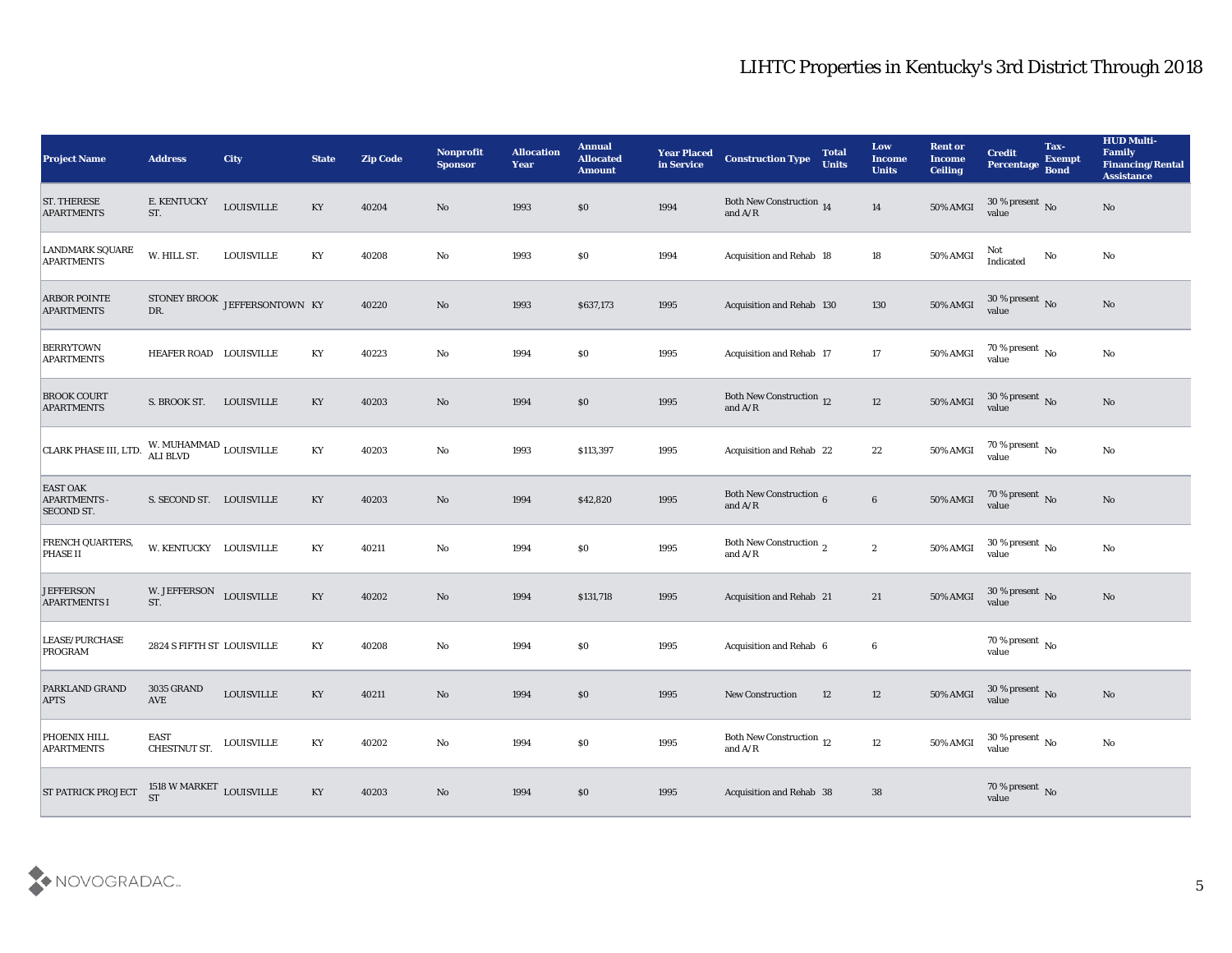| <b>Project Name</b>                                         | <b>Address</b>                           | City                          | <b>State</b> | <b>Zip Code</b> | <b>Nonprofit</b><br><b>Sponsor</b> | <b>Allocation</b><br><b>Year</b> | <b>Annual</b><br><b>Allocated</b><br><b>Amount</b> | <b>Year Placed</b><br>in Service | <b>Construction Type</b>                             | <b>Total</b><br><b>Units</b> | Low<br><b>Income</b><br><b>Units</b> | <b>Rent or</b><br>Income<br><b>Ceiling</b> | <b>Credit</b><br>Percentage Bond       | Tax-<br><b>Exempt</b> | <b>HUD Multi-</b><br>Family<br><b>Financing/Rental</b><br><b>Assistance</b> |
|-------------------------------------------------------------|------------------------------------------|-------------------------------|--------------|-----------------|------------------------------------|----------------------------------|----------------------------------------------------|----------------------------------|------------------------------------------------------|------------------------------|--------------------------------------|--------------------------------------------|----------------------------------------|-----------------------|-----------------------------------------------------------------------------|
| <b>ST. THERESE</b><br><b>APARTMENTS</b>                     | E. KENTUCKY<br>ST.                       | <b>LOUISVILLE</b>             | KY           | 40204           | No                                 | 1993                             | \$0                                                | 1994                             | Both New Construction 14<br>and $A/R$                |                              | 14                                   | <b>50% AMGI</b>                            | 30 % present No<br>value               |                       | No                                                                          |
| LANDMARK SQUARE<br><b>APARTMENTS</b>                        | W. HILL ST.                              | <b>LOUISVILLE</b>             | KY           | 40208           | No                                 | 1993                             | \$0                                                | 1994                             | <b>Acquisition and Rehab 18</b>                      |                              | 18                                   | 50% AMGI                                   | Not<br>Indicated                       | No                    | No                                                                          |
| <b>ARBOR POINTE</b><br><b>APARTMENTS</b>                    | DR.                                      | STONEY BROOK JEFFERSONTOWN KY |              | 40220           | $\rm No$                           | 1993                             | \$637,173                                          | 1995                             | <b>Acquisition and Rehab 130</b>                     |                              | 130                                  | <b>50% AMGI</b>                            | 30 % present No<br>value               |                       | $\mathbf{N}\mathbf{o}$                                                      |
| <b>BERRYTOWN</b><br><b>APARTMENTS</b>                       | HEAFER ROAD LOUISVILLE                   |                               | KY           | 40223           | $\mathbf{No}$                      | 1994                             | \$0                                                | 1995                             | Acquisition and Rehab 17                             |                              | 17                                   | 50% AMGI                                   | $70\,\%$ present $\,$ No value         |                       | No                                                                          |
| <b>BROOK COURT</b><br><b>APARTMENTS</b>                     | S. BROOK ST.                             | <b>LOUISVILLE</b>             | KY           | 40203           | No                                 | 1994                             | \$0                                                | 1995                             | Both New Construction 12<br>and $A/R$                |                              | $12\,$                               | 50% AMGI                                   | 30 % present No<br>value               |                       | $\mathbf{N}\mathbf{o}$                                                      |
| CLARK PHASE III, LTD.                                       | W. MUHAMMAD $_{\rm LOUISVILLE}$ ALI BLVD |                               | KY           | 40203           | $\mathbf{No}$                      | 1993                             | \$113,397                                          | 1995                             | Acquisition and Rehab 22                             |                              | 22                                   | 50% AMGI                                   | $70\,\%$ present $\,$ No value         |                       | No                                                                          |
| <b>EAST OAK</b><br><b>APARTMENTS -</b><br><b>SECOND ST.</b> | S. SECOND ST. LOUISVILLE                 |                               | KY           | 40203           | No                                 | 1994                             | \$42,820                                           | 1995                             | Both New Construction 6<br>and $A/R$                 |                              | $6\phantom{.}$                       | $50\%$ AMGI                                | $70\,\%$ present $\,$ No value         |                       | $\mathbf{N}\mathbf{o}$                                                      |
| <b>FRENCH QUARTERS,</b><br><b>PHASE II</b>                  | W. KENTUCKY LOUISVILLE                   |                               | KY           | 40211           | No                                 | 1994                             | \$0                                                | 1995                             | Both New Construction $\frac{1}{2}$<br>and $A/R$     |                              | $\boldsymbol{2}$                     | 50% AMGI                                   | 30 % present $\,$ No $\,$<br>value     |                       | $\mathbf{N}\mathbf{o}$                                                      |
| <b>JEFFERSON</b><br><b>APARTMENTS I</b>                     | W. JEFFERSON<br>ST.                      | <b>LOUISVILLE</b>             | KY           | 40202           | No                                 | 1994                             | \$131,718                                          | 1995                             | <b>Acquisition and Rehab 21</b>                      |                              | 21                                   | <b>50% AMGI</b>                            | $30$ % present $\,$ No value           |                       | $\mathbf{N}\mathbf{o}$                                                      |
| LEASE/PURCHASE<br><b>PROGRAM</b>                            | 2824 S FIFTH ST LOUISVILLE               |                               | KY           | 40208           | No                                 | 1994                             | \$0                                                | 1995                             | Acquisition and Rehab 6                              |                              | $\boldsymbol{6}$                     |                                            | $70\,\%$ present $\,$ No $\,$<br>value |                       |                                                                             |
| <b>PARKLAND GRAND</b><br><b>APTS</b>                        | <b>3035 GRAND</b><br>AVE                 | <b>LOUISVILLE</b>             | KY           | 40211           | No                                 | 1994                             | \$0                                                | 1995                             | <b>New Construction</b>                              | 12                           | 12                                   | 50% AMGI                                   | 30 % present $\overline{N_0}$<br>value |                       | No                                                                          |
| PHOENIX HILL<br><b>APARTMENTS</b>                           | <b>EAST</b><br>CHESTNUT ST.              | LOUISVILLE                    | KY           | 40202           | $\mathbf {No}$                     | 1994                             | $\$0$                                              | 1995                             | Both New Construction $$\,12$$ and ${\rm A}/{\rm R}$ |                              | 12                                   | $50\%$ AMGI                                | $30\,\%$ present $\,$ No value         |                       | $\mathbf {No}$                                                              |
| <b>ST PATRICK PROJECT</b>                                   | $1518$ W MARKET $\,$ LOUISVILLE $\,$ ST  |                               | KY           | 40203           | $\rm\thinspace No$                 | 1994                             | \$0                                                | 1995                             | Acquisition and Rehab 38                             |                              | 38                                   |                                            | $70\,\%$ present $\,$ No value         |                       |                                                                             |

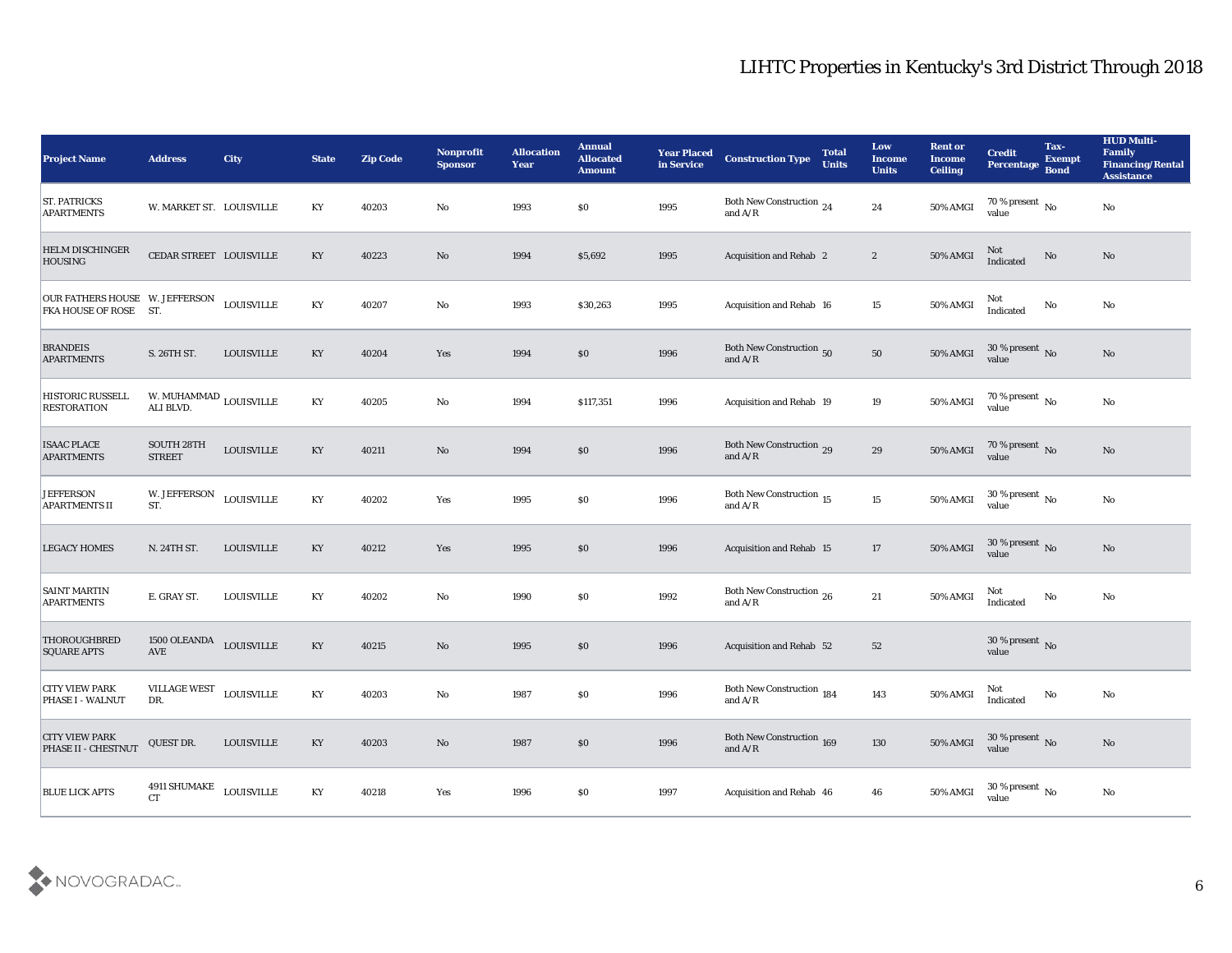| <b>Project Name</b>                                 | <b>Address</b>                               | <b>City</b>       | <b>State</b>           | <b>Zip Code</b> | Nonprofit<br><b>Sponsor</b> | <b>Allocation</b><br><b>Year</b> | <b>Annual</b><br><b>Allocated</b><br><b>Amount</b> | <b>Year Placed</b><br>in Service | <b>Construction Type</b>                                                                  | <b>Total</b><br><b>Units</b> | Low<br><b>Income</b><br><b>Units</b> | <b>Rent or</b><br><b>Income</b><br><b>Ceiling</b> | <b>Credit</b><br>Percentage Bond       | Tax-<br><b>Exempt</b> | <b>HUD Multi-</b><br>Family<br><b>Financing/Rental</b><br><b>Assistance</b> |
|-----------------------------------------------------|----------------------------------------------|-------------------|------------------------|-----------------|-----------------------------|----------------------------------|----------------------------------------------------|----------------------------------|-------------------------------------------------------------------------------------------|------------------------------|--------------------------------------|---------------------------------------------------|----------------------------------------|-----------------------|-----------------------------------------------------------------------------|
| <b>ST. PATRICKS</b><br><b>APARTMENTS</b>            | W. MARKET ST. LOUISVILLE                     |                   | KY                     | 40203           | No                          | 1993                             | $\$0$                                              | 1995                             | Both New Construction 24<br>and $A/R$                                                     |                              | 24                                   | <b>50% AMGI</b>                                   | 70 % present $\overline{N_0}$<br>value |                       | No                                                                          |
| <b>HELM DISCHINGER</b><br><b>HOUSING</b>            | CEDAR STREET LOUISVILLE                      |                   | KY                     | 40223           | No                          | 1994                             | \$5,692                                            | 1995                             | <b>Acquisition and Rehab 2</b>                                                            |                              | $\boldsymbol{2}$                     | 50% AMGI                                          | Not<br>Indicated                       | No                    | No                                                                          |
| OUR FATHERS HOUSE W. JEFFERSON<br>FKA HOUSE OF ROSE | ST.                                          | <b>LOUISVILLE</b> | KY                     | 40207           | No                          | 1993                             | \$30,263                                           | 1995                             | Acquisition and Rehab 16                                                                  |                              | 15                                   | 50% AMGI                                          | Not<br>Indicated                       | No                    | No                                                                          |
| <b>BRANDEIS</b><br><b>APARTMENTS</b>                | S. 26TH ST.                                  | <b>LOUISVILLE</b> | KY                     | 40204           | Yes                         | 1994                             | $\$0$                                              | 1996                             | Both New Construction 50<br>and $A/R$                                                     |                              | 50                                   | <b>50% AMGI</b>                                   | $30\,\%$ present $\,$ No value         |                       | No                                                                          |
| <b>HISTORIC RUSSELL</b><br><b>RESTORATION</b>       | W. MUHAMMAD $_{\rm LOUISVILLE}$<br>ALI BLVD. |                   | KY                     | 40205           | No                          | 1994                             | \$117,351                                          | 1996                             | Acquisition and Rehab 19                                                                  |                              | 19                                   | 50% AMGI                                          | 70 % present $\,$ No $\,$<br>value     |                       | No                                                                          |
| <b>ISAAC PLACE</b><br><b>APARTMENTS</b>             | <b>SOUTH 28TH</b><br><b>STREET</b>           | <b>LOUISVILLE</b> | KY                     | 40211           | No                          | 1994                             | \$0                                                | 1996                             | Both New Construction 29<br>and $A/R$                                                     |                              | 29                                   | 50% AMGI                                          | $70\,\%$ present $\,$ No value         |                       | No                                                                          |
| <b>JEFFERSON</b><br><b>APARTMENTS II</b>            | W. JEFFERSON<br>ST.                          | <b>LOUISVILLE</b> | KY                     | 40202           | Yes                         | 1995                             | $\$0$                                              | 1996                             | Both New Construction 15<br>and $A/R$                                                     |                              | 15                                   | 50% AMGI                                          | $30\,\%$ present $\,$ No value         |                       | No                                                                          |
| <b>LEGACY HOMES</b>                                 | N. 24TH ST.                                  | <b>LOUISVILLE</b> | KY                     | 40212           | Yes                         | 1995                             | $\$0$                                              | 1996                             | <b>Acquisition and Rehab 15</b>                                                           |                              | 17                                   | <b>50% AMGI</b>                                   | 30 % present $\bar{N}$ o<br>value      |                       | No                                                                          |
| <b>SAINT MARTIN</b><br><b>APARTMENTS</b>            | E. GRAY ST.                                  | <b>LOUISVILLE</b> | KY                     | 40202           | $\mathbf {No}$              | 1990                             | $\$0$                                              | 1992                             | Both New Construction 26<br>and $A/R$                                                     |                              | 21                                   | 50% AMGI                                          | Not<br>Indicated                       | $\mathbf {No}$        | $\rm\thinspace No$                                                          |
| THOROUGHBRED<br><b>SQUARE APTS</b>                  | <b>1500 OLEANDA</b><br><b>AVE</b>            | <b>LOUISVILLE</b> | $\mathbf{K}\mathbf{Y}$ | 40215           | No                          | 1995                             | \$0                                                | 1996                             | Acquisition and Rehab 52                                                                  |                              | 52                                   |                                                   | 30 % present $\bar{N}$ o<br>value      |                       |                                                                             |
| <b>CITY VIEW PARK</b><br>PHASE I - WALNUT           | <b>VILLAGE WEST</b><br>DR.                   | <b>LOUISVILLE</b> | KY                     | 40203           | No                          | 1987                             | \$0                                                | 1996                             | Both New Construction 184<br>and $A/R$                                                    |                              | 143                                  | 50% AMGI                                          | Not<br>Indicated                       | No                    | No                                                                          |
| <b>CITY VIEW PARK</b><br>PHASE II - CHESTNUT        | QUEST DR.                                    | <b>LOUISVILLE</b> | $\mathbf{K}\mathbf{Y}$ | 40203           | $\mathbf {No}$              | 1987                             | $\$0$                                              | 1996                             | <b>Both New Construction 169</b><br>and $\ensuremath{\mathrm{A}}/\ensuremath{\mathrm{R}}$ |                              | 130                                  | <b>50% AMGI</b>                                   | $30\,\%$ present $\,$ No value         |                       | $\mathbf{N}\mathbf{o}$                                                      |
| <b>BLUE LICK APTS</b>                               | 4911 SHUMAKE<br><b>CT</b>                    | <b>LOUISVILLE</b> | KY                     | 40218           | $\mathbf{Yes}$              | 1996                             | \$0                                                | 1997                             | Acquisition and Rehab 46                                                                  |                              | 46                                   | 50% AMGI                                          | 30 % present $\,$ No $\,$<br>value     |                       | $\mathbf {No}$                                                              |

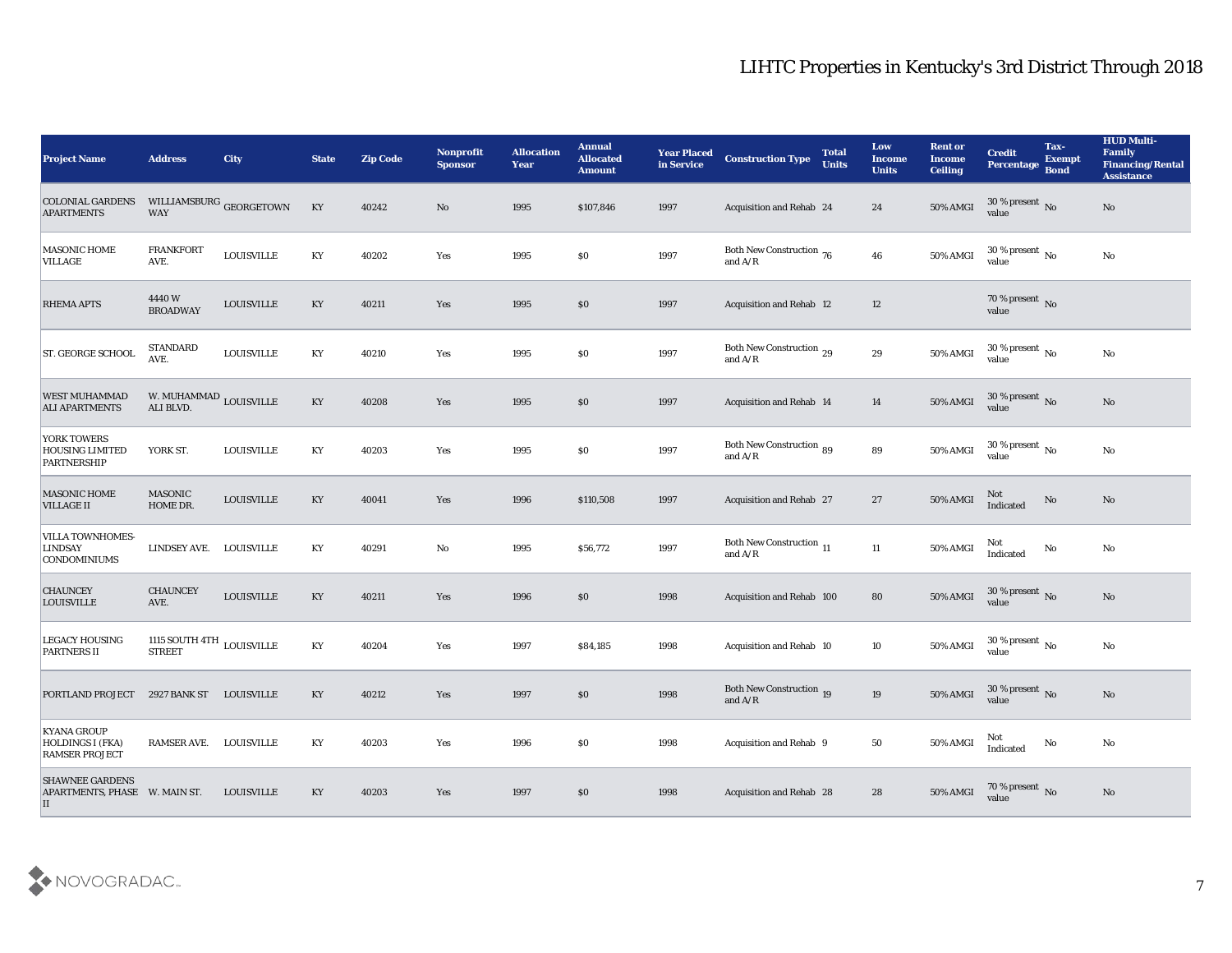| <b>Project Name</b>                                                    | <b>Address</b>                                      | <b>City</b>             | <b>State</b>           | <b>Zip Code</b> | Nonprofit<br><b>Sponsor</b> | <b>Allocation</b><br><b>Year</b> | <b>Annual</b><br><b>Allocated</b><br><b>Amount</b> | <b>Year Placed</b><br>in Service | <b>Construction Type</b>                                                          | <b>Total</b><br><b>Units</b> | Low<br><b>Income</b><br><b>Units</b> | <b>Rent or</b><br><b>Income</b><br><b>Ceiling</b> | <b>Credit</b><br>Percentage Bond       | Tax-<br><b>Exempt</b> | <b>HUD Multi-</b><br>Family<br><b>Financing/Rental</b><br><b>Assistance</b> |
|------------------------------------------------------------------------|-----------------------------------------------------|-------------------------|------------------------|-----------------|-----------------------------|----------------------------------|----------------------------------------------------|----------------------------------|-----------------------------------------------------------------------------------|------------------------------|--------------------------------------|---------------------------------------------------|----------------------------------------|-----------------------|-----------------------------------------------------------------------------|
| <b>COLONIAL GARDENS</b><br><b>APARTMENTS</b>                           | <b>WAY</b>                                          | WILLIAMSBURG GEORGETOWN | $\mathbf{K}\mathbf{Y}$ | 40242           | No                          | 1995                             | \$107,846                                          | 1997                             | Acquisition and Rehab 24                                                          |                              | 24                                   | $50\%$ AMGI                                       | 30 % present No<br>value               |                       | $\mathbf{N}\mathbf{o}$                                                      |
| <b>MASONIC HOME</b><br><b>VILLAGE</b>                                  | <b>FRANKFORT</b><br>AVE.                            | <b>LOUISVILLE</b>       | KY                     | 40202           | Yes                         | 1995                             | $\$0$                                              | 1997                             | Both New Construction 76<br>and $A/R$                                             |                              | 46                                   | 50% AMGI                                          | 30 % present $\,$ No $\,$<br>value     |                       | $\mathbf{N}\mathbf{o}$                                                      |
| <b>RHEMA APTS</b>                                                      | 4440W<br><b>BROADWAY</b>                            | <b>LOUISVILLE</b>       | KY                     | 40211           | Yes                         | 1995                             | \$0                                                | 1997                             | Acquisition and Rehab 12                                                          |                              | 12                                   |                                                   | 70 % present No<br>value               |                       |                                                                             |
| <b>ST. GEORGE SCHOOL</b>                                               | <b>STANDARD</b><br>AVE.                             | <b>LOUISVILLE</b>       | KY                     | 40210           | Yes                         | 1995                             | $\$0$                                              | 1997                             | Both New Construction 29<br>and $\ensuremath{\mathrm{A}}/\ensuremath{\mathrm{R}}$ |                              | 29                                   | 50% AMGI                                          | $30\,\%$ present $\,$ No value         |                       | No                                                                          |
| <b>WEST MUHAMMAD</b><br><b>ALI APARTMENTS</b>                          | W. MUHAMMAD LOUISVILLE<br>ALI BLVD.                 |                         | KY                     | 40208           | Yes                         | 1995                             | \$0                                                | 1997                             | <b>Acquisition and Rehab 14</b>                                                   |                              | 14                                   | 50% AMGI                                          | 30 % present $\,$ No $\,$<br>value     |                       | No                                                                          |
| <b>YORK TOWERS</b><br><b>HOUSING LIMITED</b><br><b>PARTNERSHIP</b>     | YORK ST.                                            | <b>LOUISVILLE</b>       | KY                     | 40203           | Yes                         | 1995                             | $\$0$                                              | 1997                             | Both New Construction 89<br>and $\ensuremath{\mathrm{A}}/\ensuremath{\mathrm{R}}$ |                              | 89                                   | 50% AMGI                                          | $30\,\%$ present $\,$ No $\,$<br>value |                       | $\mathbf{N}\mathbf{o}$                                                      |
| <b>MASONIC HOME</b><br><b>VILLAGE II</b>                               | MASONIC<br>HOME DR.                                 | <b>LOUISVILLE</b>       | KY                     | 40041           | Yes                         | 1996                             | \$110,508                                          | 1997                             | Acquisition and Rehab 27                                                          |                              | 27                                   | 50% AMGI                                          | Not<br>Indicated                       | No                    | No                                                                          |
| VILLA TOWNHOMES-<br><b>LINDSAY</b><br><b>CONDOMINIUMS</b>              | LINDSEY AVE.                                        | LOUISVILLE              | KY                     | 40291           | No                          | 1995                             | \$56,772                                           | 1997                             | Both New Construction 11<br>and $\ensuremath{\mathrm{A}}/\ensuremath{\mathrm{R}}$ |                              | 11                                   | 50% AMGI                                          | Not<br>Indicated                       | No                    | No                                                                          |
| <b>CHAUNCEY</b><br><b>LOUISVILLE</b>                                   | <b>CHAUNCEY</b><br>AVE.                             | <b>LOUISVILLE</b>       | KY                     | 40211           | Yes                         | 1996                             | \$0\$                                              | 1998                             | Acquisition and Rehab 100                                                         |                              | 80                                   | 50% AMGI                                          | 30 % present $\,$ No $\,$<br>value     |                       | $\mathbf{N}\mathbf{o}$                                                      |
| <b>LEGACY HOUSING</b><br><b>PARTNERS II</b>                            | 1115 SOUTH 4TH $_{\rm LOUISVILLE}$<br><b>STREET</b> |                         | KY                     | 40204           | Yes                         | 1997                             | \$84,185                                           | 1998                             | Acquisition and Rehab 10                                                          |                              | 10                                   | 50% AMGI                                          | 30 % present $\,$ No $\,$<br>value     |                       | No                                                                          |
| <b>PORTLAND PROJECT</b>                                                | 2927 BANK ST LOUISVILLE                             |                         | KY                     | 40212           | Yes                         | 1997                             | \$0                                                | 1998                             | Both New Construction 19<br>and $\ensuremath{\mathrm{A}}/\ensuremath{\mathrm{R}}$ |                              | 19                                   | 50% AMGI                                          | 30 % present No<br>value               |                       | No                                                                          |
| <b>KYANA GROUP</b><br><b>HOLDINGS I (FKA)</b><br><b>RAMSER PROJECT</b> | RAMSER AVE. LOUISVILLE                              |                         | KY                     | 40203           | $\mathbf{Yes}$              | 1996                             | $\$0$                                              | 1998                             | Acquisition and Rehab 9                                                           |                              | ${\bf 50}$                           | 50% AMGI                                          | Not<br>Indicated                       | No                    | No                                                                          |
| <b>SHAWNEE GARDENS</b><br>APARTMENTS, PHASE W. MAIN ST.<br>II          |                                                     | <b>LOUISVILLE</b>       | KY                     | 40203           | $\mathbf{Yes}$              | 1997                             | \$0\$                                              | 1998                             | Acquisition and Rehab 28                                                          |                              | 28                                   | 50% AMGI                                          | 70 % present $\overline{N_0}$<br>value |                       | $\rm No$                                                                    |

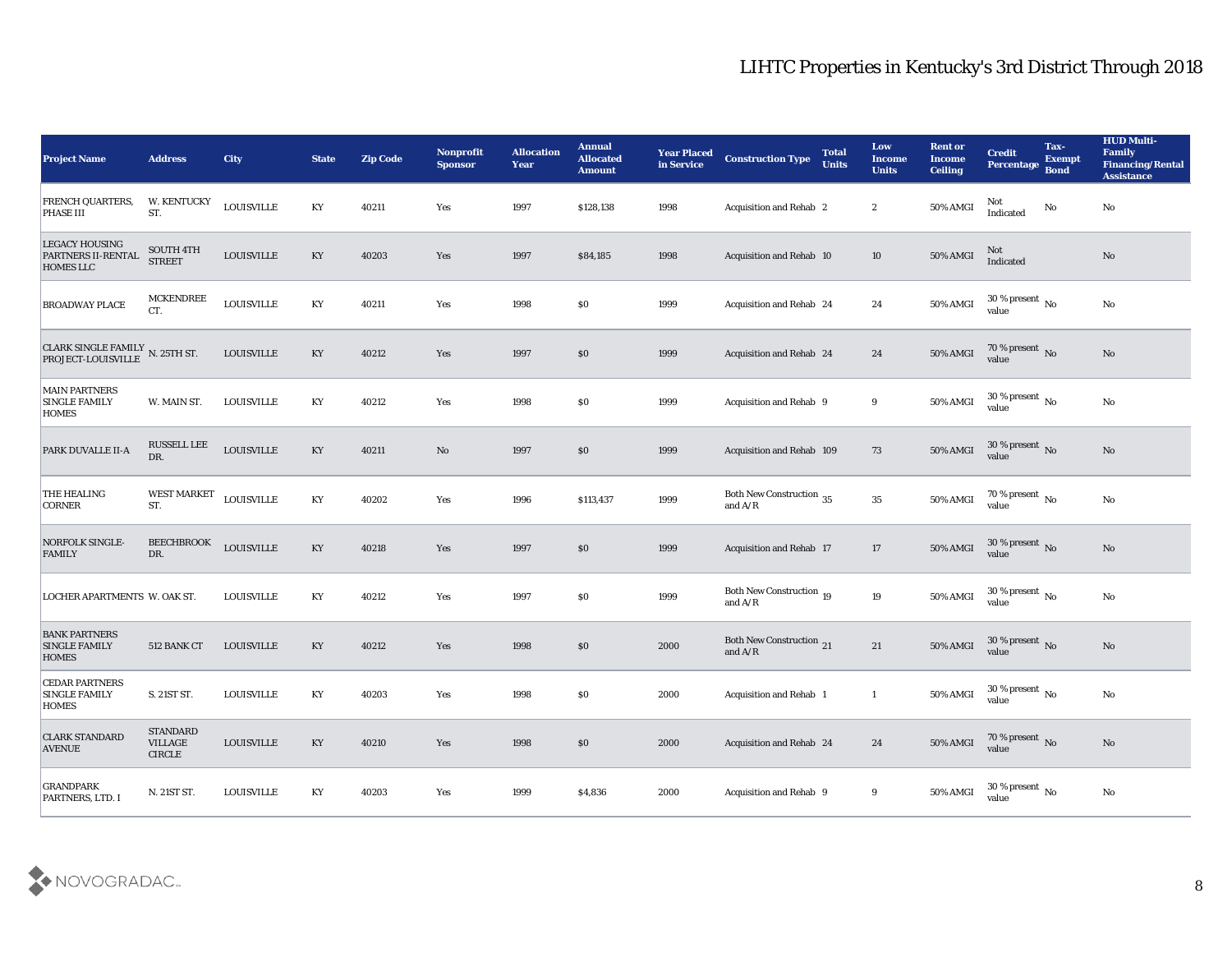| <b>Project Name</b>                                             | <b>Address</b>                                               | <b>City</b>        | <b>State</b>           | <b>Zip Code</b> | Nonprofit<br><b>Sponsor</b> | <b>Allocation</b><br><b>Year</b> | <b>Annual</b><br><b>Allocated</b><br><b>Amount</b> | <b>Year Placed</b><br>in Service | <b>Construction Type</b>              | <b>Total</b><br><b>Units</b> | Low<br><b>Income</b><br><b>Units</b> | <b>Rent or</b><br><b>Income</b><br><b>Ceiling</b> | <b>Credit</b><br><b>Percentage</b>            | Tax-<br><b>Exempt</b><br><b>Bond</b> | <b>HUD Multi-</b><br>Family<br><b>Financing/Rental</b><br><b>Assistance</b> |
|-----------------------------------------------------------------|--------------------------------------------------------------|--------------------|------------------------|-----------------|-----------------------------|----------------------------------|----------------------------------------------------|----------------------------------|---------------------------------------|------------------------------|--------------------------------------|---------------------------------------------------|-----------------------------------------------|--------------------------------------|-----------------------------------------------------------------------------|
| FRENCH QUARTERS,<br>PHASE III                                   | W. KENTUCKY<br>ST.                                           | ${\tt LOUISVILLE}$ | KY                     | 40211           | Yes                         | 1997                             | \$128,138                                          | 1998                             | <b>Acquisition and Rehab 2</b>        |                              | $\boldsymbol{2}$                     | 50% AMGI                                          | Not<br>$\operatorname{Indicated}$             | No                                   | No                                                                          |
| <b>LEGACY HOUSING</b><br>PARTNERS II-RENTAL<br><b>HOMES LLC</b> | <b>SOUTH 4TH</b><br><b>STREET</b>                            | <b>LOUISVILLE</b>  | KY                     | 40203           | Yes                         | 1997                             | \$84,185                                           | 1998                             | Acquisition and Rehab 10              |                              | 10                                   | $50\%$ AMGI                                       | Not<br>Indicated                              |                                      | No                                                                          |
| BROADWAY PLACE                                                  | <b>MCKENDREE</b><br>CT.                                      | <b>LOUISVILLE</b>  | KY                     | 40211           | Yes                         | 1998                             | \$0                                                | 1999                             | Acquisition and Rehab 24              |                              | 24                                   | 50% AMGI                                          | 30 % present $\,$ No $\,$<br>value            |                                      | No                                                                          |
| CLARK SINGLE FAMILY N. 25TH ST. PROJECT-LOUISVILLE              |                                                              | <b>LOUISVILLE</b>  | KY                     | 40212           | Yes                         | 1997                             | \$0                                                | 1999                             | Acquisition and Rehab 24              |                              | 24                                   | <b>50% AMGI</b>                                   | $70\,\%$ present $\,$ No value                |                                      | No                                                                          |
| <b>MAIN PARTNERS</b><br><b>SINGLE FAMILY</b><br>HOMES           | W. MAIN ST.                                                  | <b>LOUISVILLE</b>  | KY                     | 40212           | Yes                         | 1998                             | \$0                                                | 1999                             | Acquisition and Rehab 9               |                              | 9                                    | 50% AMGI                                          | $30\,\%$ present $\,$ No $\,$<br>value        |                                      | $\rm\thinspace No$                                                          |
| PARK DUVALLE II-A                                               | RUSSELL LEE<br>DR.                                           | <b>LOUISVILLE</b>  | KY                     | 40211           | $\mathbf{N}\mathbf{o}$      | 1997                             | \$0                                                | 1999                             | Acquisition and Rehab 109             |                              | 73                                   | 50% AMGI                                          | $30\,\%$ present $\,$ No value                |                                      | No                                                                          |
| <b>THE HEALING</b><br><b>CORNER</b>                             | <b>WEST MARKET</b><br>ST.                                    | <b>LOUISVILLE</b>  | KY                     | 40202           | Yes                         | 1996                             | \$113,437                                          | 1999                             | Both New Construction 35<br>and $A/R$ |                              | 35                                   | 50% AMGI                                          | 70 % present $\,$ No $\,$<br>value            |                                      | No                                                                          |
| <b>NORFOLK SINGLE-</b><br><b>FAMILY</b>                         | <b>BEECHBROOK</b><br>DR.                                     | <b>LOUISVILLE</b>  | KY                     | 40218           | Yes                         | 1997                             | \$0                                                | 1999                             | <b>Acquisition and Rehab 17</b>       |                              | 17                                   | <b>50% AMGI</b>                                   | 30 % present $\sqrt{\phantom{a}}$ No<br>value |                                      | No                                                                          |
| LOCHER APARTMENTS W. OAK ST.                                    |                                                              | <b>LOUISVILLE</b>  | KY                     | 40212           | Yes                         | 1997                             | $\$0$                                              | 1999                             | Both New Construction 19<br>and $A/R$ |                              | 19                                   | 50% AMGI                                          | 30 % present $\,$ No $\,$<br>value            |                                      | No                                                                          |
| <b>BANK PARTNERS</b><br><b>SINGLE FAMILY</b><br><b>HOMES</b>    | 512 BANK CT                                                  | LOUISVILLE         | KY                     | 40212           | Yes                         | 1998                             | \$0                                                | 2000                             | Both New Construction 21<br>and $A/R$ |                              | 21                                   | 50% AMGI                                          | 30 % present $\hbox{~No}$<br>value            |                                      | No                                                                          |
| <b>CEDAR PARTNERS</b><br><b>SINGLE FAMILY</b><br><b>HOMES</b>   | S. 21ST ST.                                                  | <b>LOUISVILLE</b>  | KY                     | 40203           | Yes                         | 1998                             | $\$0$                                              | 2000                             | <b>Acquisition and Rehab 1</b>        |                              | $\mathbf{1}$                         | 50% AMGI                                          | 30 % present $\,$ No $\,$<br>value            |                                      | No                                                                          |
| <b>CLARK STANDARD</b><br><b>AVENUE</b>                          | <b>STANDARD</b><br>VILLAGE<br>$\ensuremath{\mathsf{CIRCLE}}$ | ${\bf LOUISVILLE}$ | $\mathbf{K}\mathbf{Y}$ | 40210           | $\mathbf{Yes}$              | 1998                             | $\$0$                                              | 2000                             | Acquisition and Rehab 24              |                              | 24                                   | 50% AMGI                                          | $70\,\%$ present $\,$ No value                |                                      | $\mathbf{N}\mathbf{o}$                                                      |
| <b>GRANDPARK</b><br>PARTNERS, LTD. I                            | N. 21ST ST.                                                  | <b>LOUISVILLE</b>  | $\mathbf{K}\mathbf{Y}$ | 40203           | $\mathbf{Yes}$              | 1999                             | \$4,836                                            | 2000                             | Acquisition and Rehab 9               |                              | $\boldsymbol{9}$                     | 50% AMGI                                          | 30 % present $\,$ No $\,$<br>value            |                                      | $\rm\thinspace No$                                                          |

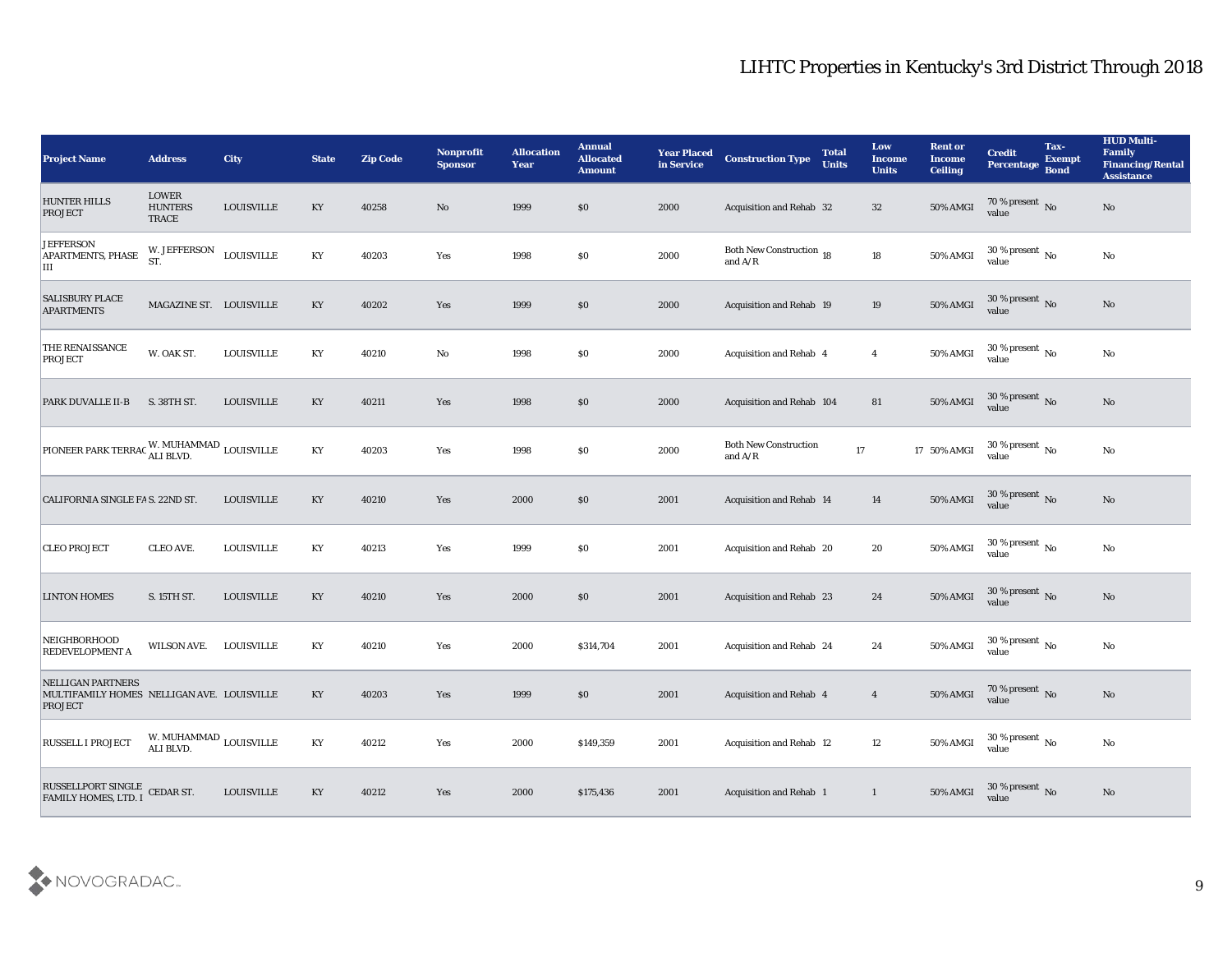| <b>Project Name</b>                                                               | <b>Address</b>                            | City              | <b>State</b>           | <b>Zip Code</b> | Nonprofit<br><b>Sponsor</b> | <b>Allocation</b><br><b>Year</b> | <b>Annual</b><br><b>Allocated</b><br><b>Amount</b> | <b>Year Placed</b><br>in Service | <b>Construction Type</b>                  | <b>Total</b><br><b>Units</b> | Low<br><b>Income</b><br><b>Units</b> | <b>Rent or</b><br><b>Income</b><br><b>Ceiling</b> | <b>Credit</b><br>Percentage Bond       | Tax-<br><b>Exempt</b> | <b>HUD Multi-</b><br>Family<br><b>Financing/Rental</b><br><b>Assistance</b> |
|-----------------------------------------------------------------------------------|-------------------------------------------|-------------------|------------------------|-----------------|-----------------------------|----------------------------------|----------------------------------------------------|----------------------------------|-------------------------------------------|------------------------------|--------------------------------------|---------------------------------------------------|----------------------------------------|-----------------------|-----------------------------------------------------------------------------|
| <b>HUNTER HILLS</b><br><b>PROJECT</b>                                             | LOWER<br><b>HUNTERS</b><br>TRACE          | <b>LOUISVILLE</b> | KY                     | 40258           | No                          | 1999                             | \$0                                                | 2000                             | Acquisition and Rehab 32                  |                              | 32                                   | $50\%$ AMGI                                       | 70 % present No<br>value               |                       | No                                                                          |
| <b>JEFFERSON</b><br><b>APARTMENTS, PHASE</b><br>III                               | W. JEFFERSON<br>ST.                       | <b>LOUISVILLE</b> | KY                     | 40203           | Yes                         | 1998                             | $\$0$                                              | 2000                             | Both New Construction 18<br>and $A/R$     |                              | 18                                   | 50% AMGI                                          | 30 % present $\,$ No $\,$<br>value     |                       | No                                                                          |
| <b>SALISBURY PLACE</b><br><b>APARTMENTS</b>                                       | MAGAZINE ST. LOUISVILLE                   |                   | KY                     | 40202           | Yes                         | 1999                             | $\boldsymbol{\mathsf{S}}\boldsymbol{\mathsf{0}}$   | 2000                             | <b>Acquisition and Rehab 19</b>           |                              | 19                                   | 50% AMGI                                          | 30 % present $\,$ No $\,$<br>value     |                       | $\mathbf{N}\mathbf{o}$                                                      |
| THE RENAISSANCE<br><b>PROJECT</b>                                                 | W. OAK ST.                                | <b>LOUISVILLE</b> | KY                     | 40210           | $\mathbf{N}\mathbf{o}$      | 1998                             | \$0                                                | 2000                             | Acquisition and Rehab 4                   |                              | $\boldsymbol{4}$                     | <b>50% AMGI</b>                                   | $30\,\%$ present $\,$ No value         |                       | No                                                                          |
| PARK DUVALLE II-B                                                                 | S. 38TH ST.                               | <b>LOUISVILLE</b> | KY                     | 40211           | Yes                         | 1998                             | \$0                                                | 2000                             | Acquisition and Rehab 104                 |                              | 81                                   | 50% AMGI                                          | $30\,\%$ present $\,$ No value         |                       | $\mathbf{N}\mathbf{o}$                                                      |
| PIONEER PARK TERRAC W. MUHAMMAD LOUISVILLE                                        |                                           |                   | KY                     | 40203           | Yes                         | 1998                             | \$0                                                | 2000                             | <b>Both New Construction</b><br>and $A/R$ | 17                           |                                      | 17 50% AMGI                                       | $30\,\%$ present $\,$ No $\,$<br>value |                       | No                                                                          |
| CALIFORNIA SINGLE FAS. 22ND ST.                                                   |                                           | <b>LOUISVILLE</b> | KY                     | 40210           | Yes                         | 2000                             | $\$0$                                              | 2001                             | Acquisition and Rehab 14                  |                              | 14                                   | <b>50% AMGI</b>                                   | $30\,\%$ present $\,$ No value         |                       | $\mathbf{N}\mathbf{o}$                                                      |
| <b>CLEO PROJECT</b>                                                               | <b>CLEO AVE.</b>                          | <b>LOUISVILLE</b> | KY                     | 40213           | Yes                         | 1999                             | $\boldsymbol{\mathsf{S}}\boldsymbol{\mathsf{0}}$   | 2001                             | Acquisition and Rehab 20                  |                              | 20                                   | 50% AMGI                                          | 30 % present $\,$ No $\,$<br>value     |                       | No                                                                          |
| <b>LINTON HOMES</b>                                                               | S. 15TH ST.                               | <b>LOUISVILLE</b> | KY                     | 40210           | Yes                         | 2000                             | \$0                                                | 2001                             | Acquisition and Rehab 23                  |                              | 24                                   | 50% AMGI                                          | $30\,\%$ present $\,$ No value         |                       | $\mathbf{N}\mathbf{o}$                                                      |
| NEIGHBORHOOD<br>REDEVELOPMENT A                                                   | <b>WILSON AVE.</b>                        | LOUISVILLE        | KY                     | 40210           | Yes                         | 2000                             | \$314,704                                          | 2001                             | Acquisition and Rehab 24                  |                              | 24                                   | 50% AMGI                                          | 30 % present $\,$ No $\,$<br>value     |                       | No                                                                          |
| <b>NELLIGAN PARTNERS</b><br>MULTIFAMILY HOMES NELLIGAN AVE. LOUISVILLE<br>PROJECT |                                           |                   | KY                     | 40203           | Yes                         | 1999                             | \$0                                                | 2001                             | Acquisition and Rehab 4                   |                              | $\overline{4}$                       | 50% AMGI                                          | 70 % present No<br>value               |                       | No                                                                          |
| <b>RUSSELL I PROJECT</b>                                                          | W. MUHAMMAD $_{\rm LOUISVILLE}$ ALI BLVD. |                   | $\mathbf{K}\mathbf{Y}$ | 40212           | Yes                         | 2000                             | \$149,359                                          | 2001                             | Acquisition and Rehab 12                  |                              | $12\,$                               | $50\%$ AMGI                                       | $30\,\%$ present $\,$ No value         |                       | $\rm\thinspace No$                                                          |
| RUSSELLPORT SINGLE CEDAR ST. FAMILY HOMES, LTD. I                                 |                                           | LOUISVILLE        | KY                     | 40212           | Yes                         | 2000                             | \$175,436                                          | 2001                             | <b>Acquisition and Rehab 1</b>            |                              | $\mathbf{1}$                         | 50% AMGI                                          | $30\,\%$ present $\,$ No value         |                       | $\mathbf{N}\mathbf{o}$                                                      |

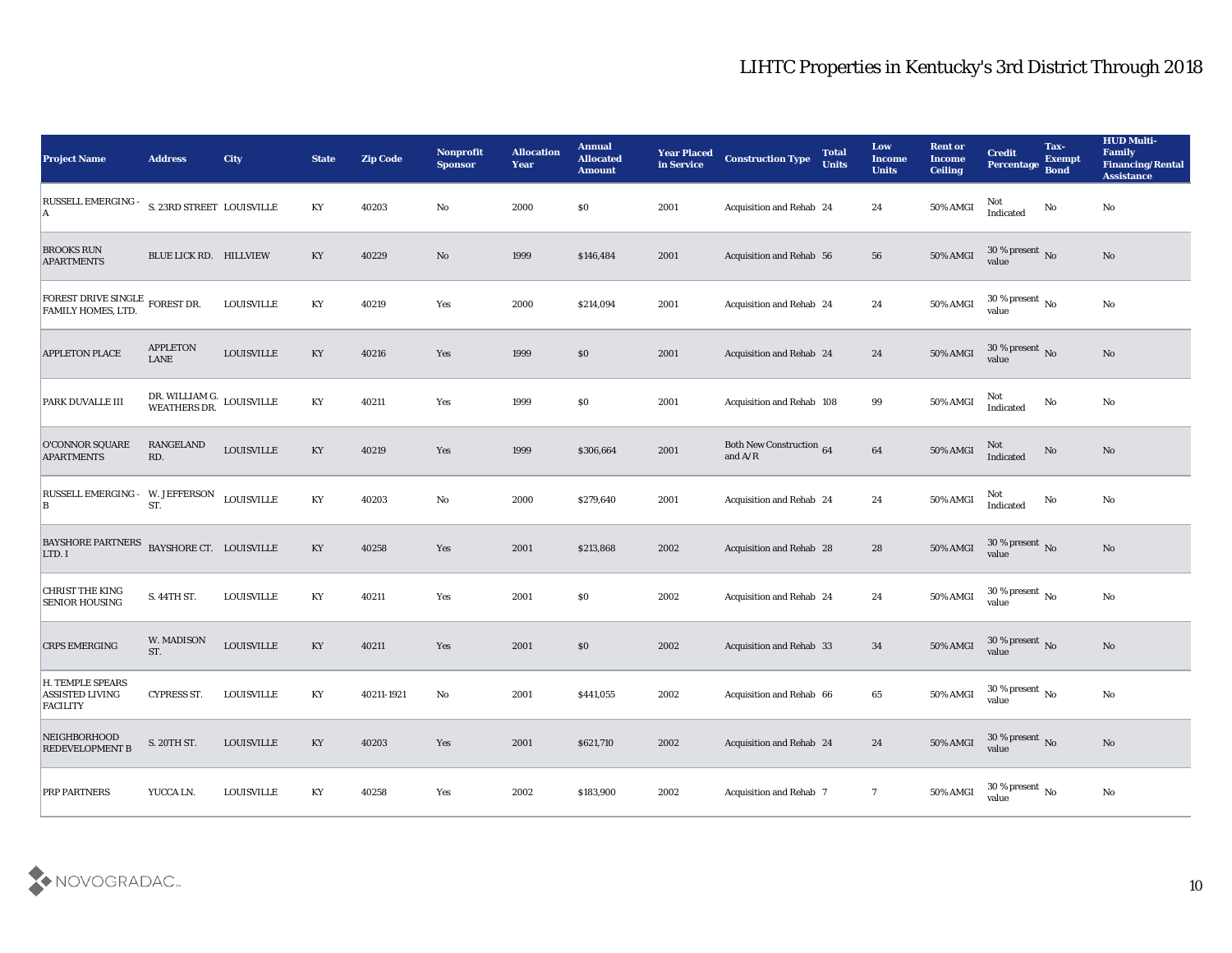| <b>Project Name</b>                                           | <b>Address</b>                            | City              | <b>State</b>           | <b>Zip Code</b> | Nonprofit<br><b>Sponsor</b> | <b>Allocation</b><br><b>Year</b> | <b>Annual</b><br><b>Allocated</b><br><b>Amount</b> | <b>Year Placed</b><br>in Service | <b>Construction Type</b>                                                                 | <b>Total</b><br><b>Units</b> | Low<br><b>Income</b><br><b>Units</b> | <b>Rent or</b><br><b>Income</b><br><b>Ceiling</b> | <b>Credit</b><br>Percentage        | Tax-<br><b>Exempt</b><br><b>Bond</b> | <b>HUD Multi-</b><br>Family<br><b>Financing/Rental</b><br><b>Assistance</b> |
|---------------------------------------------------------------|-------------------------------------------|-------------------|------------------------|-----------------|-----------------------------|----------------------------------|----------------------------------------------------|----------------------------------|------------------------------------------------------------------------------------------|------------------------------|--------------------------------------|---------------------------------------------------|------------------------------------|--------------------------------------|-----------------------------------------------------------------------------|
| <b>RUSSELL EMERGING -</b>                                     | S. 23RD STREET LOUISVILLE                 |                   | KY                     | 40203           | No                          | 2000                             | $\$0$                                              | 2001                             | Acquisition and Rehab 24                                                                 |                              | 24                                   | 50% AMGI                                          | Not<br>$\operatorname{Indicated}$  | No                                   | No                                                                          |
| <b>BROOKS RUN</b><br><b>APARTMENTS</b>                        | BLUE LICK RD. HILLVIEW                    |                   | KY                     | 40229           | No                          | 1999                             | \$146,484                                          | 2001                             | Acquisition and Rehab 56                                                                 |                              | 56                                   | 50% AMGI                                          | 30 % present No<br>value           |                                      | No                                                                          |
| FOREST DRIVE SINGLE FOREST DR.<br>FAMILY HOMES, LTD.          |                                           | <b>LOUISVILLE</b> | KY                     | 40219           | Yes                         | 2000                             | \$214,094                                          | 2001                             | Acquisition and Rehab 24                                                                 |                              | 24                                   | 50% AMGI                                          | 30 % present $\,$ No $\,$<br>value |                                      | $\rm\thinspace No$                                                          |
| <b>APPLETON PLACE</b>                                         | <b>APPLETON</b><br>LANE                   | <b>LOUISVILLE</b> | KY                     | 40216           | Yes                         | 1999                             | \$0                                                | 2001                             | Acquisition and Rehab 24                                                                 |                              | 24                                   | 50% AMGI                                          | $30\,\%$ present $\,$ No value     |                                      | No                                                                          |
| PARK DUVALLE III                                              | DR. WILLIAM G.<br>WEATHERS DR. LOUISVILLE |                   | KY                     | 40211           | Yes                         | 1999                             | \$0                                                | 2001                             | Acquisition and Rehab 108                                                                |                              | 99                                   | 50% AMGI                                          | Not<br>Indicated                   | No                                   | No                                                                          |
| O'CONNOR SQUARE<br><b>APARTMENTS</b>                          | <b>RANGELAND</b><br>RD.                   | <b>LOUISVILLE</b> | KY                     | 40219           | Yes                         | 1999                             | \$306,664                                          | 2001                             | <b>Both New Construction 64</b><br>and $\ensuremath{\mathrm{A}}/\ensuremath{\mathrm{R}}$ |                              | 64                                   | 50% AMGI                                          | Not<br>Indicated                   | No                                   | No                                                                          |
| RUSSELL EMERGING - W. JEFFERSON<br>B                          | ST.                                       | <b>LOUISVILLE</b> | KY                     | 40203           | No                          | 2000                             | \$279,640                                          | 2001                             | Acquisition and Rehab 24                                                                 |                              | 24                                   | 50% AMGI                                          | Not<br>Indicated                   | No                                   | No                                                                          |
| <b>BAYSHORE PARTNERS</b><br>LTD. I                            | BAYSHORE CT. LOUISVILLE                   |                   | KY                     | 40258           | Yes                         | 2001                             | \$213,868                                          | 2002                             | Acquisition and Rehab 28                                                                 |                              | 28                                   | <b>50% AMGI</b>                                   | 30 % present $\,$ No $\,$<br>value |                                      | No                                                                          |
| <b>CHRIST THE KING</b><br><b>SENIOR HOUSING</b>               | S. 44TH ST.                               | <b>LOUISVILLE</b> | KY                     | 40211           | Yes                         | 2001                             | \$0                                                | 2002                             | Acquisition and Rehab 24                                                                 |                              | 24                                   | 50% AMGI                                          | 30 % present $\,$ No $\,$<br>value |                                      | No                                                                          |
| <b>CRPS EMERGING</b>                                          | W. MADISON<br>ST.                         | <b>LOUISVILLE</b> | KY                     | 40211           | Yes                         | 2001                             | \$0                                                | 2002                             | Acquisition and Rehab 33                                                                 |                              | 34                                   | 50% AMGI                                          | $30\,\%$ present $\,$ No value     |                                      | No                                                                          |
| H. TEMPLE SPEARS<br><b>ASSISTED LIVING</b><br><b>FACILITY</b> | <b>CYPRESS ST.</b>                        | <b>LOUISVILLE</b> | KY                     | 40211-1921      | No                          | 2001                             | \$441,055                                          | 2002                             | Acquisition and Rehab 66                                                                 |                              | 65                                   | 50% AMGI                                          | 30 % present $\,$ No $\,$<br>value |                                      | No                                                                          |
| NEIGHBORHOOD<br><b>REDEVELOPMENT B</b>                        | S. 20TH ST.                               | <b>LOUISVILLE</b> | $\mathbf{K}\mathbf{Y}$ | 40203           | $\mathbf{Yes}$              | 2001                             | \$621,710                                          | 2002                             | Acquisition and Rehab 24                                                                 |                              | 24                                   | 50% AMGI                                          | $30\,\%$ present $\,$ No value     |                                      | $\rm\thinspace No$                                                          |
| <b>PRP PARTNERS</b>                                           | YUCCA LN.                                 | <b>LOUISVILLE</b> | $\mathbf{K}\mathbf{Y}$ | 40258           | $\mathbf{Yes}$              | 2002                             | \$183,900                                          | 2002                             | Acquisition and Rehab 7                                                                  |                              | $\overline{7}$                       | 50% AMGI                                          | 30 % present $\,$ No $\,$<br>value |                                      | ${\bf No}$                                                                  |

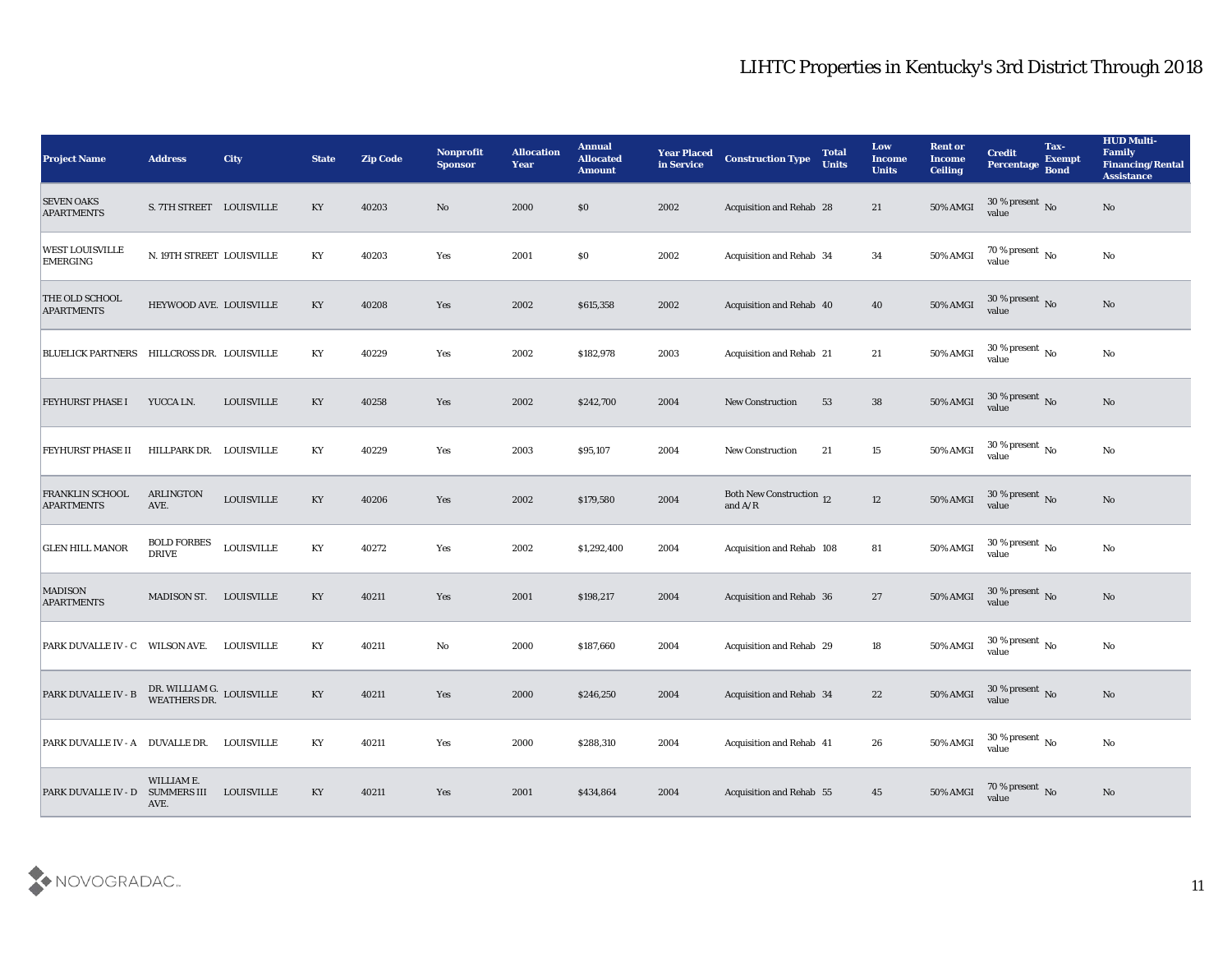| <b>Project Name</b>                         | <b>Address</b>                            | <b>City</b>       | <b>State</b>           | <b>Zip Code</b> | Nonprofit<br><b>Sponsor</b> | <b>Allocation</b><br>Year | <b>Annual</b><br><b>Allocated</b><br><b>Amount</b> | <b>Year Placed</b><br>in Service | <b>Construction Type</b>              | <b>Total</b><br><b>Units</b> | Low<br><b>Income</b><br><b>Units</b> | <b>Rent or</b><br><b>Income</b><br><b>Ceiling</b> | <b>Credit</b><br>Percentage Bond       | Tax-<br><b>Exempt</b> | <b>HUD Multi-</b><br>Family<br><b>Financing/Rental</b><br><b>Assistance</b> |
|---------------------------------------------|-------------------------------------------|-------------------|------------------------|-----------------|-----------------------------|---------------------------|----------------------------------------------------|----------------------------------|---------------------------------------|------------------------------|--------------------------------------|---------------------------------------------------|----------------------------------------|-----------------------|-----------------------------------------------------------------------------|
| <b>SEVEN OAKS</b><br><b>APARTMENTS</b>      | S. 7TH STREET LOUISVILLE                  |                   | KY                     | 40203           | No                          | 2000                      | \$0                                                | 2002                             | Acquisition and Rehab 28              |                              | 21                                   | <b>50% AMGI</b>                                   | $30\,\%$ present $\,$ No value         |                       | No                                                                          |
| <b>WEST LOUISVILLE</b><br><b>EMERGING</b>   | N. 19TH STREET LOUISVILLE                 |                   | KY                     | 40203           | Yes                         | 2001                      | $\$0$                                              | 2002                             | Acquisition and Rehab 34              |                              | 34                                   | 50% AMGI                                          | $70\,\%$ present $\,$ No value         |                       | $\rm\thinspace No$                                                          |
| THE OLD SCHOOL<br><b>APARTMENTS</b>         | HEYWOOD AVE. LOUISVILLE                   |                   | KY                     | 40208           | Yes                         | 2002                      | \$615,358                                          | 2002                             | Acquisition and Rehab 40              |                              | 40                                   | $50\%$ AMGI                                       | $30\,\%$ present $\,$ No value         |                       | No                                                                          |
| <b>BLUELICK PARTNERS</b>                    | HILLCROSS DR. LOUISVILLE                  |                   | KY                     | 40229           | Yes                         | 2002                      | \$182,978                                          | 2003                             | Acquisition and Rehab 21              |                              | 21                                   | 50% AMGI                                          | $30\,\%$ present $\,$ No value         |                       | No                                                                          |
| <b>FEYHURST PHASE I</b>                     | YUCCA LN.                                 | <b>LOUISVILLE</b> | KY                     | 40258           | Yes                         | 2002                      | \$242,700                                          | 2004                             | <b>New Construction</b>               | 53                           | 38                                   | <b>50% AMGI</b>                                   | $30\,\%$ present $\,$ No value         |                       | No                                                                          |
| <b>FEYHURST PHASE II</b>                    | HILLPARK DR. LOUISVILLE                   |                   | KY                     | 40229           | Yes                         | 2003                      | \$95,107                                           | 2004                             | <b>New Construction</b>               | 21                           | 15                                   | 50% AMGI                                          | $30\,\%$ present $\,$ No $\,$<br>value |                       | No                                                                          |
| <b>FRANKLIN SCHOOL</b><br><b>APARTMENTS</b> | <b>ARLINGTON</b><br>AVE.                  | <b>LOUISVILLE</b> | KY                     | 40206           | Yes                         | 2002                      | \$179,580                                          | 2004                             | Both New Construction 12<br>and $A/R$ |                              | 12                                   | $50\%$ AMGI                                       | $30\,\%$ present $\,$ No value         |                       | $\mathbf{N}\mathbf{o}$                                                      |
| <b>GLEN HILL MANOR</b>                      | <b>BOLD FORBES</b><br><b>DRIVE</b>        | <b>LOUISVILLE</b> | KY                     | 40272           | Yes                         | 2002                      | \$1,292,400                                        | 2004                             | Acquisition and Rehab 108             |                              | 81                                   | 50% AMGI                                          | 30 % present $\,$ No $\,$<br>value     |                       | No                                                                          |
| <b>MADISON</b><br><b>APARTMENTS</b>         | MADISON ST. LOUISVILLE                    |                   | KY                     | 40211           | Yes                         | 2001                      | \$198,217                                          | 2004                             | Acquisition and Rehab 36              |                              | 27                                   | <b>50% AMGI</b>                                   | $30\,\%$ present $\,$ No value         |                       | No                                                                          |
| <b>PARK DUVALLE IV - C</b>                  | WILSON AVE.                               | <b>LOUISVILLE</b> | KY                     | 40211           | No                          | 2000                      | \$187,660                                          | 2004                             | Acquisition and Rehab 29              |                              | 18                                   | 50% AMGI                                          | $30\,\%$ present $\,$ No value         |                       | No                                                                          |
| PARK DUVALLE IV - B                         | DR. WILLIAM G.<br>WEATHERS DR. LOUISVILLE |                   | KY                     | 40211           | Yes                         | 2000                      | \$246,250                                          | 2004                             | <b>Acquisition and Rehab 34</b>       |                              | 22                                   | 50% AMGI                                          | 30 % present $\overline{N_0}$<br>value |                       | No                                                                          |
| PARK DUVALLE IV - A DUVALLE DR. LOUISVILLE  |                                           |                   | $\mathbf{K}\mathbf{Y}$ | 40211           | $\mathbf{Yes}$              | 2000                      | \$288,310                                          | 2004                             | Acquisition and Rehab 41              |                              | 26                                   | 50% AMGI                                          | 30 % present $\,$ No $\,$<br>value     |                       | $\mathbf {No}$                                                              |
| PARK DUVALLE IV - D SUMMERS III             | WILLIAM E.<br>AVE.                        | <b>LOUISVILLE</b> | KY                     | 40211           | Yes                         | 2001                      | \$434,864                                          | 2004                             | Acquisition and Rehab 55              |                              | 45                                   | 50% AMGI                                          | 70 % present $\bar{N}$ o<br>value      |                       | No                                                                          |

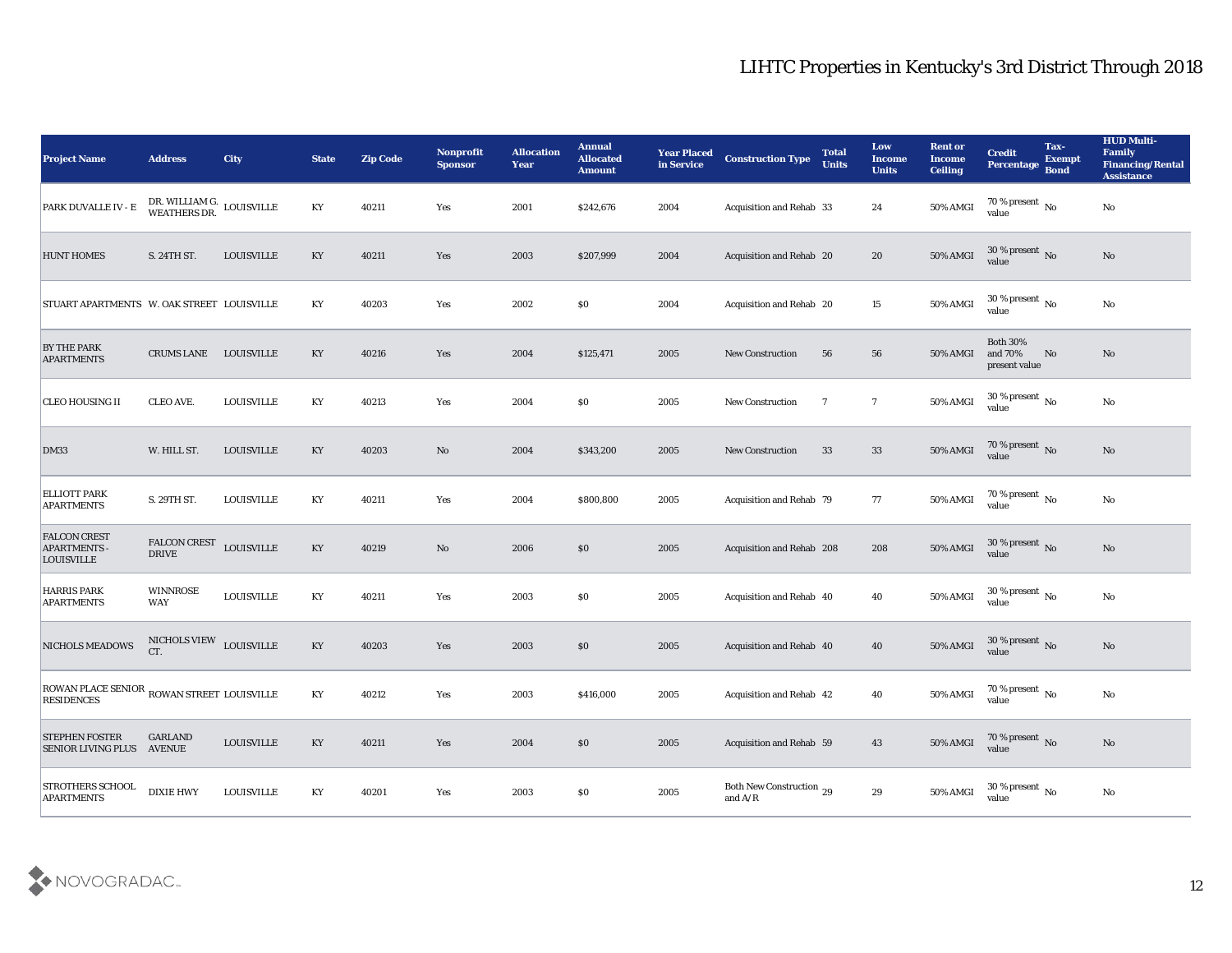| <b>Project Name</b>                                             | <b>Address</b>                         | City               | <b>State</b>           | <b>Zip Code</b> | Nonprofit<br><b>Sponsor</b> | <b>Allocation</b><br><b>Year</b> | <b>Annual</b><br><b>Allocated</b><br><b>Amount</b> | <b>Year Placed</b><br>in Service | <b>Construction Type</b>                                                                        | <b>Total</b><br><b>Units</b> | Low<br><b>Income</b><br><b>Units</b> | <b>Rent or</b><br><b>Income</b><br><b>Ceiling</b> | <b>Credit</b><br>Percentage                 | Tax-<br><b>Exempt</b><br><b>Bond</b> | <b>HUD Multi-</b><br>Family<br><b>Financing/Rental</b><br><b>Assistance</b> |
|-----------------------------------------------------------------|----------------------------------------|--------------------|------------------------|-----------------|-----------------------------|----------------------------------|----------------------------------------------------|----------------------------------|-------------------------------------------------------------------------------------------------|------------------------------|--------------------------------------|---------------------------------------------------|---------------------------------------------|--------------------------------------|-----------------------------------------------------------------------------|
| PARK DUVALLE IV - E                                             | DR. WILLIAM G. LOUISVILLE WEATHERS DR. |                    | KY                     | 40211           | Yes                         | 2001                             | \$242,676                                          | 2004                             | Acquisition and Rehab 33                                                                        |                              | 24                                   | 50% AMGI                                          | 70 % present $\,$ No $\,$<br>value          |                                      | No                                                                          |
| <b>HUNT HOMES</b>                                               | S. 24TH ST.                            | <b>LOUISVILLE</b>  | KY                     | 40211           | Yes                         | 2003                             | \$207,999                                          | 2004                             | Acquisition and Rehab 20                                                                        |                              | 20                                   | 50% AMGI                                          | $30\,\%$ present $\,$ No value              |                                      | No                                                                          |
| STUART APARTMENTS W. OAK STREET LOUISVILLE                      |                                        |                    | KY                     | 40203           | Yes                         | 2002                             | \$0                                                | 2004                             | Acquisition and Rehab 20                                                                        |                              | 15                                   | 50% AMGI                                          | 30 % present $\,$ No $\,$<br>value          |                                      | No                                                                          |
| <b>BY THE PARK</b><br><b>APARTMENTS</b>                         | <b>CRUMS LANE</b>                      | LOUISVILLE         | KY                     | 40216           | Yes                         | 2004                             | \$125,471                                          | 2005                             | <b>New Construction</b>                                                                         | 56                           | 56                                   | 50% AMGI                                          | <b>Both 30%</b><br>and 70%<br>present value | No                                   | No                                                                          |
| <b>CLEO HOUSING II</b>                                          | <b>CLEO AVE.</b>                       | <b>LOUISVILLE</b>  | KY                     | 40213           | Yes                         | 2004                             | $\$0$                                              | 2005                             | <b>New Construction</b>                                                                         | $\overline{7}$               | $7\phantom{.0}$                      | 50% AMGI                                          | 30 % present $\,$ No $\,$<br>value          |                                      | No                                                                          |
| <b>DM33</b>                                                     | W. HILL ST.                            | LOUISVILLE         | KY                     | 40203           | No                          | 2004                             | \$343,200                                          | 2005                             | <b>New Construction</b>                                                                         | 33                           | 33                                   | <b>50% AMGI</b>                                   | $70\,\%$ present $\,$ No value              |                                      | No                                                                          |
| <b>ELLIOTT PARK</b><br><b>APARTMENTS</b>                        | S. 29TH ST.                            | <b>LOUISVILLE</b>  | KY                     | 40211           | Yes                         | 2004                             | \$800,800                                          | 2005                             | Acquisition and Rehab 79                                                                        |                              | 77                                   | 50% AMGI                                          | $70\,\%$ present $\,$ No value              |                                      | No                                                                          |
| <b>FALCON CREST</b><br><b>APARTMENTS -</b><br><b>LOUISVILLE</b> | <b>FALCON CREST</b><br><b>DRIVE</b>    | <b>LOUISVILLE</b>  | KY                     | 40219           | No                          | 2006                             | \$0                                                | 2005                             | Acquisition and Rehab 208                                                                       |                              | 208                                  | <b>50% AMGI</b>                                   | 30 % present No<br>value                    |                                      | No                                                                          |
| <b>HARRIS PARK</b><br><b>APARTMENTS</b>                         | <b>WINNROSE</b><br><b>WAY</b>          | <b>LOUISVILLE</b>  | KY                     | 40211           | Yes                         | 2003                             | \$0                                                | 2005                             | Acquisition and Rehab 40                                                                        |                              | 40                                   | 50% AMGI                                          | $30\,\%$ present $\,$ No value              |                                      | No                                                                          |
| NICHOLS MEADOWS                                                 | NICHOLS VIEW $\quad$ LOUISVILLE<br>CT. |                    | KY                     | 40203           | Yes                         | 2003                             | \$0                                                | 2005                             | Acquisition and Rehab 40                                                                        |                              | 40                                   | 50% AMGI                                          | $30\,\%$ present $\,$ No value              |                                      | No                                                                          |
| ROWAN PLACE SENIOR ROWAN STREET LOUISVILLE<br><b>RESIDENCES</b> |                                        |                    | KY                     | 40212           | Yes                         | 2003                             | \$416,000                                          | 2005                             | Acquisition and Rehab 42                                                                        |                              | 40                                   | 50% AMGI                                          | 70 % present $\,$ No $\,$<br>value          |                                      | No                                                                          |
| <b>STEPHEN FOSTER</b><br>SENIOR LIVING PLUS AVENUE              | <b>GARLAND</b>                         | ${\bf LOUISVILLE}$ | $\mathbf{K}\mathbf{Y}$ | 40211           | $\mathbf{Yes}$              | 2004                             | $\$0$                                              | 2005                             | Acquisition and Rehab 59                                                                        |                              | 43                                   | 50% AMGI                                          | $70\,\%$ present $\,$ No value              |                                      | $\rm\thinspace No$                                                          |
| <b>STROTHERS SCHOOL</b><br><b>APARTMENTS</b>                    | <b>DIXIE HWY</b>                       | <b>LOUISVILLE</b>  | $\mathbf{K}\mathbf{Y}$ | 40201           | $\mathbf{Yes}$              | 2003                             | $\$0$                                              | 2005                             | Both New Construction 29<br>and $\ensuremath{\mathrm{A}}\xspace/\ensuremath{\mathrm{R}}\xspace$ |                              | $\bf 29$                             | 50% AMGI                                          | 30 % present $\,$ No $\,$<br>value          |                                      | $\mathbf {No}$                                                              |

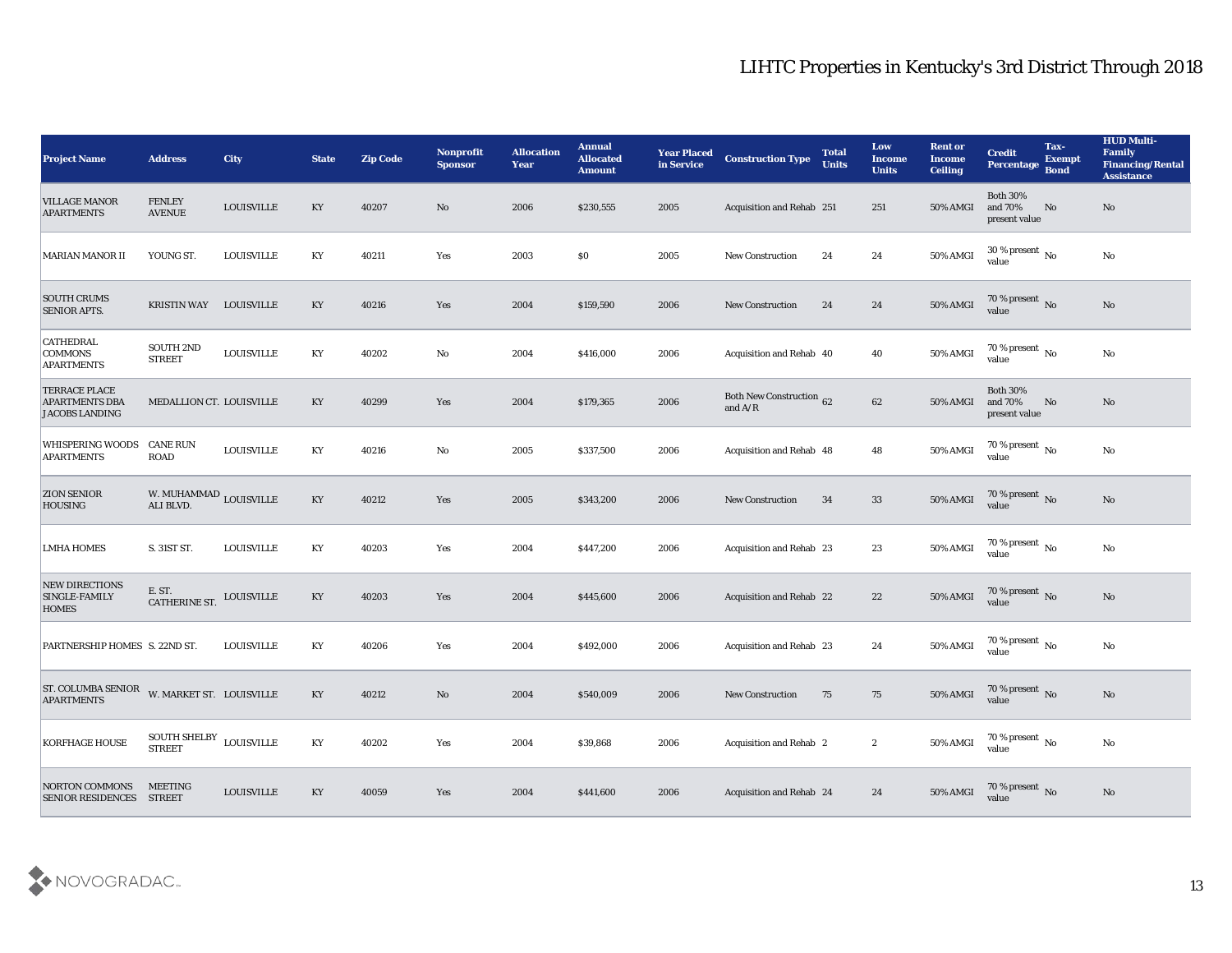| <b>Project Name</b>                                                    | <b>Address</b>                                | <b>City</b>        | <b>State</b> | <b>Zip Code</b> | <b>Nonprofit</b><br><b>Sponsor</b> | <b>Allocation</b><br><b>Year</b> | <b>Annual</b><br><b>Allocated</b><br><b>Amount</b> | <b>Year Placed</b><br>in Service | <b>Construction Type</b>                     | <b>Total</b><br><b>Units</b> | Low<br><b>Income</b><br><b>Units</b> | <b>Rent or</b><br><b>Income</b><br><b>Ceiling</b> | <b>Credit</b><br><b>Percentage</b>          | Tax-<br><b>Exempt</b><br><b>Bond</b> | <b>HUD Multi-</b><br>Family<br><b>Financing/Rental</b><br><b>Assistance</b> |
|------------------------------------------------------------------------|-----------------------------------------------|--------------------|--------------|-----------------|------------------------------------|----------------------------------|----------------------------------------------------|----------------------------------|----------------------------------------------|------------------------------|--------------------------------------|---------------------------------------------------|---------------------------------------------|--------------------------------------|-----------------------------------------------------------------------------|
| <b>VILLAGE MANOR</b><br><b>APARTMENTS</b>                              | <b>FENLEY</b><br><b>AVENUE</b>                | <b>LOUISVILLE</b>  | KY           | 40207           | No                                 | 2006                             | \$230,555                                          | 2005                             | Acquisition and Rehab 251                    |                              | 251                                  | <b>50% AMGI</b>                                   | <b>Both 30%</b><br>and 70%<br>present value | No                                   | No                                                                          |
| MARIAN MANOR II                                                        | YOUNG ST.                                     | <b>LOUISVILLE</b>  | KY           | 40211           | Yes                                | 2003                             | $\$0$                                              | 2005                             | <b>New Construction</b>                      | 24                           | 24                                   | 50% AMGI                                          | $30\,\%$ present $\,$ No value              |                                      | No                                                                          |
| <b>SOUTH CRUMS</b><br><b>SENIOR APTS.</b>                              | KRISTIN WAY LOUISVILLE                        |                    | KY           | 40216           | Yes                                | 2004                             | \$159,590                                          | 2006                             | <b>New Construction</b>                      | 24                           | 24                                   | 50% AMGI                                          | 70 % present No<br>value                    |                                      | No                                                                          |
| <b>CATHEDRAL</b><br><b>COMMONS</b><br><b>APARTMENTS</b>                | <b>SOUTH 2ND</b><br><b>STREET</b>             | <b>LOUISVILLE</b>  | KY           | 40202           | No                                 | 2004                             | \$416,000                                          | 2006                             | Acquisition and Rehab 40                     |                              | 40                                   | 50% AMGI                                          | 70 % present $\overline{N_0}$<br>value      |                                      | $\mathbf{N}\mathbf{o}$                                                      |
| <b>TERRACE PLACE</b><br><b>APARTMENTS DBA</b><br><b>JACOBS LANDING</b> | MEDALLION CT. LOUISVILLE                      |                    | KY           | 40299           | Yes                                | 2004                             | \$179,365                                          | 2006                             | <b>Both New Construction 62</b><br>and $A/R$ |                              | 62                                   | 50% AMGI                                          | <b>Both 30%</b><br>and 70%<br>present value | No                                   | No                                                                          |
| <b>WHISPERING WOODS</b><br><b>APARTMENTS</b>                           | <b>CANE RUN</b><br><b>ROAD</b>                | <b>LOUISVILLE</b>  | KY           | 40216           | No                                 | 2005                             | \$337,500                                          | 2006                             | Acquisition and Rehab 48                     |                              | 48                                   | 50% AMGI                                          | 70 % present $\,$ No $\,$<br>value          |                                      | No                                                                          |
| <b>ZION SENIOR</b><br><b>HOUSING</b>                                   | W. MUHAMMAD $_{\rm LOUISVILLE}$ ALI BLVD.     |                    | KY           | 40212           | Yes                                | 2005                             | \$343,200                                          | 2006                             | <b>New Construction</b>                      | 34                           | 33                                   | 50% AMGI                                          | $70\,\%$ present $\,$ No value              |                                      | No                                                                          |
| <b>LMHA HOMES</b>                                                      | S. 31ST ST.                                   | <b>LOUISVILLE</b>  | KY           | 40203           | Yes                                | 2004                             | \$447,200                                          | 2006                             | Acquisition and Rehab 23                     |                              | 23                                   | 50% AMGI                                          | 70 % present $\,$ No $\,$<br>value          |                                      | No                                                                          |
| <b>NEW DIRECTIONS</b><br>SINGLE-FAMILY<br><b>HOMES</b>                 | E. ST.<br>CATHERINE ST.                       | LOUISVILLE         | KY           | 40203           | Yes                                | 2004                             | \$445,600                                          | 2006                             | Acquisition and Rehab 22                     |                              | 22                                   | <b>50% AMGI</b>                                   | $70$ % present $${\rm No}$$ value           |                                      | No                                                                          |
| PARTNERSHIP HOMES S. 22ND ST.                                          |                                               | <b>LOUISVILLE</b>  | KY           | 40206           | Yes                                | 2004                             | \$492,000                                          | 2006                             | Acquisition and Rehab 23                     |                              | 24                                   | 50% AMGI                                          | 70 % present $\,$ No $\,$<br>value          |                                      | No                                                                          |
| <b>ST. COLUMBA SENIOR</b><br><b>APARTMENTS</b>                         | W. MARKET ST. LOUISVILLE                      |                    | KY           | 40212           | No                                 | 2004                             | \$540,009                                          | 2006                             | New Construction                             | 75                           | 75                                   | 50% AMGI                                          | 70 % present No<br>value                    |                                      | No                                                                          |
| <b>KORFHAGE HOUSE</b>                                                  | SOUTH SHELBY $\,$ LOUISVILLE<br><b>STREET</b> |                    | KY           | 40202           | $\mathbf{Yes}$                     | 2004                             | \$39,868                                           | 2006                             | Acquisition and Rehab 2                      |                              | $\boldsymbol{2}$                     | 50% AMGI                                          | $70\,\%$ present $\,$ No value              |                                      | $\mathbf{N}\mathbf{o}$                                                      |
| NORTON COMMONS<br><b>SENIOR RESIDENCES</b>                             | <b>MEETING</b><br><b>STREET</b>               | ${\tt LOUISVILLE}$ | KY           | 40059           | $\mathbf{Yes}$                     | 2004                             | \$441,600                                          | 2006                             | Acquisition and Rehab 24                     |                              | 24                                   | <b>50% AMGI</b>                                   | 70 % present $\sqrt{\ }$ No<br>value        |                                      | $\rm\thinspace No$                                                          |

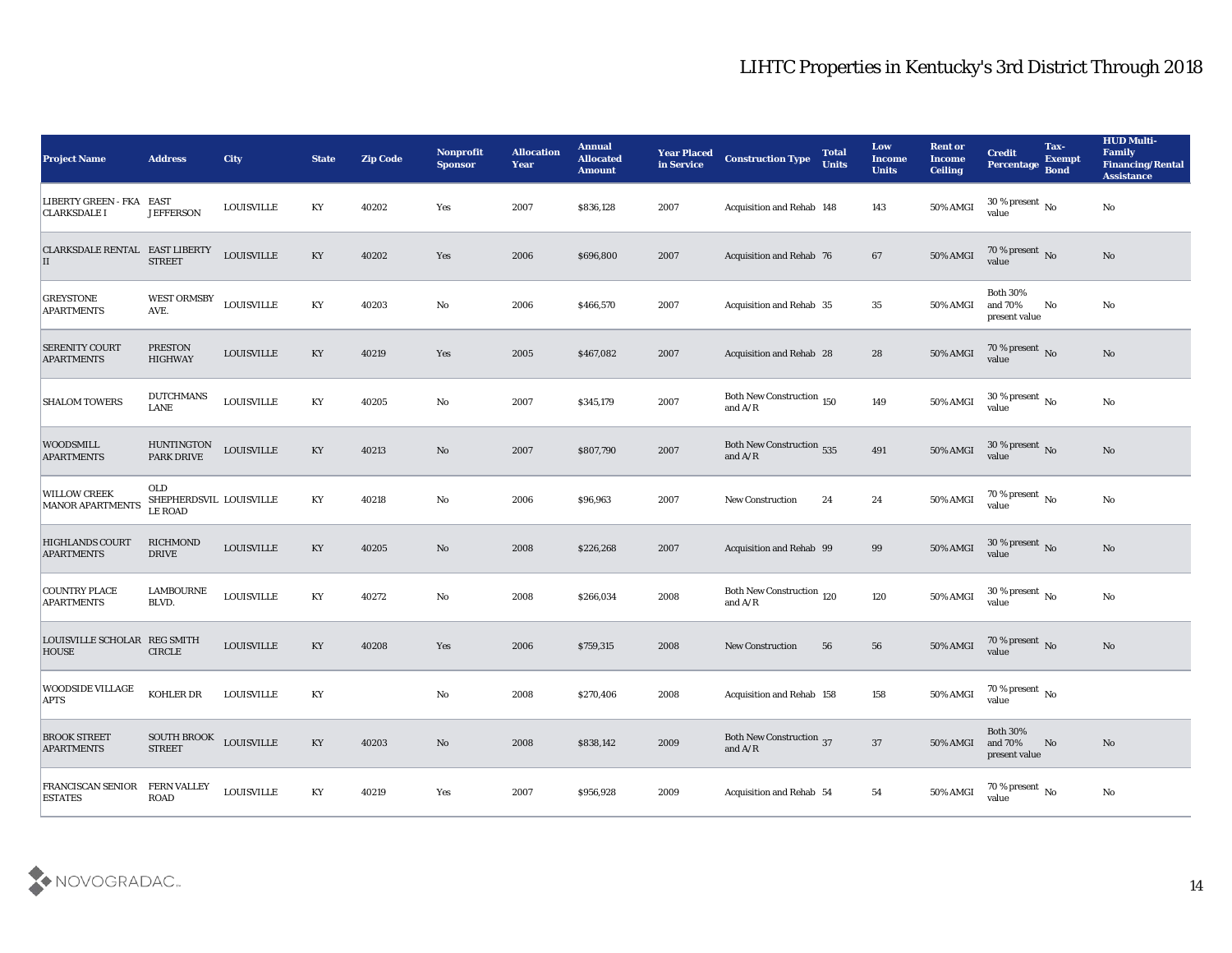| <b>Project Name</b>                               | <b>Address</b>                                          | City              | <b>State</b> | <b>Zip Code</b> | Nonprofit<br><b>Sponsor</b> | <b>Allocation</b><br><b>Year</b> | <b>Annual</b><br><b>Allocated</b><br><b>Amount</b> | <b>Year Placed</b><br>in Service | <b>Construction Type</b>                                                                            | <b>Total</b><br><b>Units</b> | Low<br><b>Income</b><br><b>Units</b> | <b>Rent or</b><br><b>Income</b><br><b>Ceiling</b> | <b>Credit</b><br><b>Percentage</b>          | Tax-<br><b>Exempt</b><br><b>Bond</b> | <b>HUD Multi-</b><br>Family<br><b>Financing/Rental</b><br><b>Assistance</b> |
|---------------------------------------------------|---------------------------------------------------------|-------------------|--------------|-----------------|-----------------------------|----------------------------------|----------------------------------------------------|----------------------------------|-----------------------------------------------------------------------------------------------------|------------------------------|--------------------------------------|---------------------------------------------------|---------------------------------------------|--------------------------------------|-----------------------------------------------------------------------------|
| <b>LIBERTY GREEN - FKA</b><br><b>CLARKSDALE I</b> | EAST<br><b>JEFFERSON</b>                                | <b>LOUISVILLE</b> | KY           | 40202           | Yes                         | 2007                             | \$836,128                                          | 2007                             | Acquisition and Rehab 148                                                                           |                              | 143                                  | 50% AMGI                                          | 30 % present $\,$ No $\,$<br>value          |                                      | No                                                                          |
| CLARKSDALE RENTAL EAST LIBERTY<br>II              | <b>STREET</b>                                           | <b>LOUISVILLE</b> | KY           | 40202           | Yes                         | 2006                             | \$696,800                                          | 2007                             | Acquisition and Rehab 76                                                                            |                              | 67                                   | 50% AMGI                                          | $70\,\%$ present $\,$ No value              |                                      | No                                                                          |
| <b>GREYSTONE</b><br><b>APARTMENTS</b>             | <b>WEST ORMSBY</b><br>AVE.                              | <b>LOUISVILLE</b> | KY           | 40203           | No                          | 2006                             | \$466,570                                          | 2007                             | Acquisition and Rehab 35                                                                            |                              | 35                                   | <b>50% AMGI</b>                                   | <b>Both 30%</b><br>and 70%<br>present value | No                                   | No                                                                          |
| <b>SERENITY COURT</b><br><b>APARTMENTS</b>        | <b>PRESTON</b><br><b>HIGHWAY</b>                        | <b>LOUISVILLE</b> | KY           | 40219           | Yes                         | 2005                             | \$467,082                                          | 2007                             | Acquisition and Rehab 28                                                                            |                              | 28                                   | <b>50% AMGI</b>                                   | $70\,\%$ present $\,$ No value              |                                      | No                                                                          |
| <b>SHALOM TOWERS</b>                              | <b>DUTCHMANS</b><br>LANE                                | <b>LOUISVILLE</b> | KY           | 40205           | No                          | 2007                             | \$345,179                                          | 2007                             | Both New Construction 150<br>and $A/R$                                                              |                              | 149                                  | 50% AMGI                                          | 30 % present $\,$ No $\,$<br>value          |                                      | No                                                                          |
| <b>WOODSMILL</b><br><b>APARTMENTS</b>             | <b>HUNTINGTON</b><br>PARK DRIVE                         | <b>LOUISVILLE</b> | KY           | 40213           | No                          | 2007                             | \$807,790                                          | 2007                             | <b>Both New Construction</b> 535<br>and $A/R$                                                       |                              | 491                                  | <b>50% AMGI</b>                                   | $30\,\%$ present $\,$ No value              |                                      | No                                                                          |
| <b>WILLOW CREEK</b><br>MANOR APARTMENTS           | <b>OLD</b><br>SHEPHERDSVIL LOUISVILLE<br><b>LE ROAD</b> |                   | KY           | 40218           | No                          | 2006                             | \$96,963                                           | 2007                             | New Construction                                                                                    | 24                           | 24                                   | 50% AMGI                                          | $70\,\%$ present $\,$ No value              |                                      | No                                                                          |
| <b>HIGHLANDS COURT</b><br><b>APARTMENTS</b>       | <b>RICHMOND</b><br><b>DRIVE</b>                         | <b>LOUISVILLE</b> | KY           | 40205           | No                          | 2008                             | \$226,268                                          | 2007                             | Acquisition and Rehab 99                                                                            |                              | 99                                   | 50% AMGI                                          | $30$ % present $\,$ No $\,$<br>value        |                                      | No                                                                          |
| <b>COUNTRY PLACE</b><br><b>APARTMENTS</b>         | <b>LAMBOURNE</b><br>BLVD.                               | <b>LOUISVILLE</b> | KY           | 40272           | No                          | 2008                             | \$266,034                                          | 2008                             | Both New Construction 120<br>and $\ensuremath{\mathrm{A}}/\ensuremath{\mathrm{R}}$                  |                              | 120                                  | 50% AMGI                                          | 30 % present $\,$ No $\,$<br>value          |                                      | No                                                                          |
| <b>LOUISVILLE SCHOLAR</b><br><b>HOUSE</b>         | <b>REG SMITH</b><br><b>CIRCLE</b>                       | <b>LOUISVILLE</b> | KY           | 40208           | Yes                         | 2006                             | \$759,315                                          | 2008                             | <b>New Construction</b>                                                                             | 56                           | 56                                   | <b>50% AMGI</b>                                   | 70 % present $\,$ No $\,$<br>value          |                                      | No                                                                          |
| <b>WOODSIDE VILLAGE</b><br><b>APTS</b>            | KOHLER DR                                               | <b>LOUISVILLE</b> | KY           |                 | No                          | 2008                             | \$270,406                                          | 2008                             | Acquisition and Rehab 158                                                                           |                              | 158                                  | 50% AMGI                                          | 70 % present $\,$ No $\,$<br>value          |                                      |                                                                             |
| <b>BROOK STREET</b><br><b>APARTMENTS</b>          | SOUTH BROOK<br><b>STREET</b>                            | <b>LOUISVILLE</b> | KY           | 40203           | $\rm\thinspace No$          | 2008                             | \$838,142                                          | 2009                             | <b>Both New Construction</b> <sub>37</sub><br>and $\ensuremath{\mathrm{A}}/\ensuremath{\mathrm{R}}$ |                              | $37\,$                               | 50% AMGI                                          | Both $30\%$<br>and $70\%$<br>present value  | No                                   | $\rm No$                                                                    |
| <b>FRANCISCAN SENIOR</b><br><b>ESTATES</b>        | <b>FERN VALLEY</b><br><b>ROAD</b>                       | <b>LOUISVILLE</b> | KY           | 40219           | Yes                         | 2007                             | \$956,928                                          | 2009                             | Acquisition and Rehab 54                                                                            |                              | 54                                   | 50% AMGI                                          | 70 % present $\,$ No $\,$<br>value          |                                      | $\mathbf{N}\mathbf{o}$                                                      |

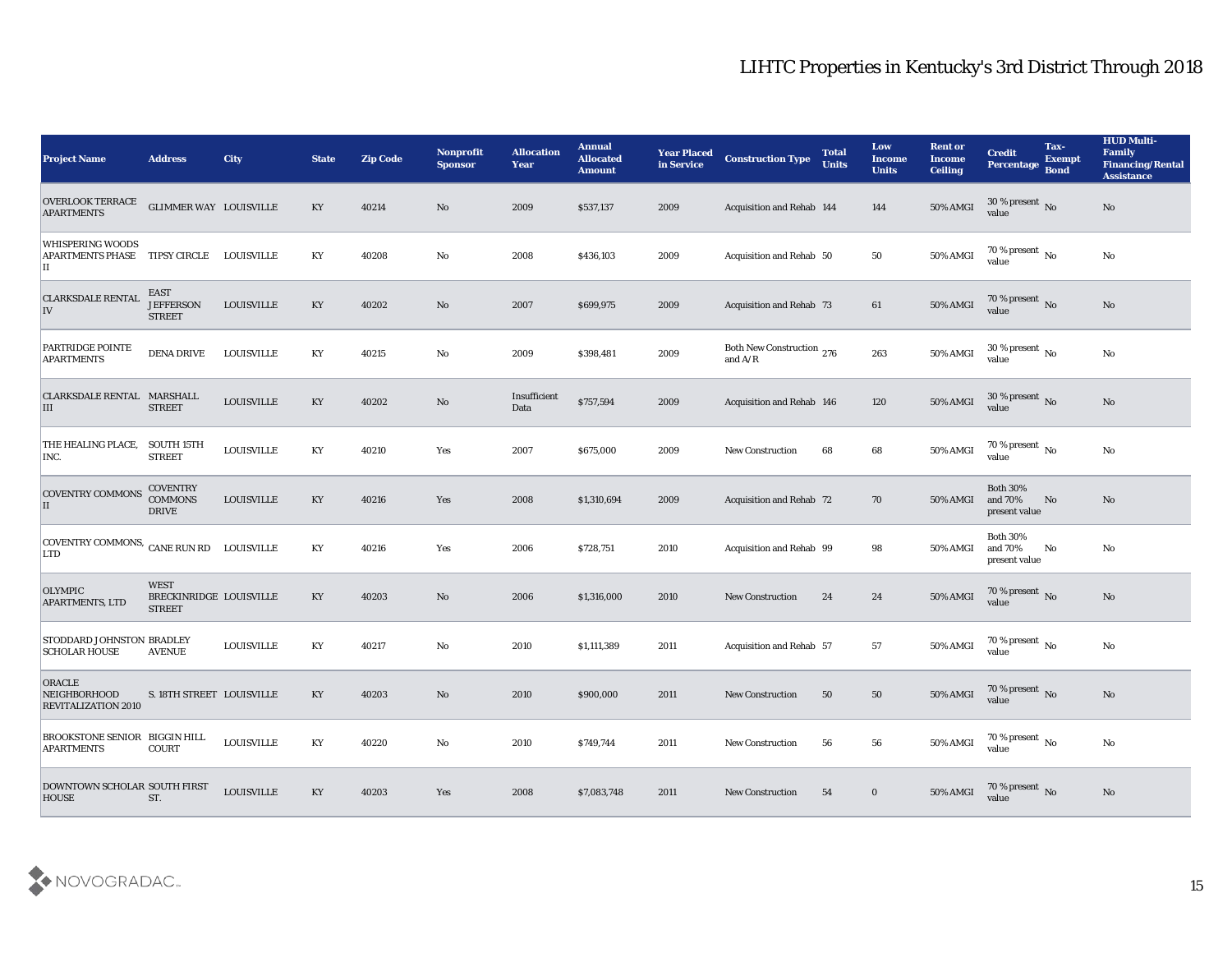| <b>Project Name</b>                                                | <b>Address</b>                                          | <b>City</b>       | <b>State</b>           | <b>Zip Code</b> | Nonprofit<br><b>Sponsor</b> | <b>Allocation</b><br><b>Year</b> | <b>Annual</b><br><b>Allocated</b><br><b>Amount</b> | <b>Year Placed</b><br>in Service | <b>Construction Type</b>               | <b>Total</b><br><b>Units</b> | Low<br><b>Income</b><br><b>Units</b> | <b>Rent or</b><br><b>Income</b><br><b>Ceiling</b> | <b>Credit</b><br>Percentage Bond            | Tax-<br><b>Exempt</b> | <b>HUD Multi-</b><br>Family<br><b>Financing/Rental</b><br><b>Assistance</b> |
|--------------------------------------------------------------------|---------------------------------------------------------|-------------------|------------------------|-----------------|-----------------------------|----------------------------------|----------------------------------------------------|----------------------------------|----------------------------------------|------------------------------|--------------------------------------|---------------------------------------------------|---------------------------------------------|-----------------------|-----------------------------------------------------------------------------|
| <b>OVERLOOK TERRACE</b><br><b>APARTMENTS</b>                       | <b>GLIMMER WAY LOUISVILLE</b>                           |                   | KY                     | 40214           | No                          | 2009                             | \$537,137                                          | 2009                             | Acquisition and Rehab 144              |                              | 144                                  | <b>50% AMGI</b>                                   | 30 % present No<br>value                    |                       | No                                                                          |
| <b>WHISPERING WOODS</b><br>APARTMENTS PHASE                        | TIPSY CIRCLE                                            | LOUISVILLE        | KY                     | 40208           | No                          | 2008                             | \$436,103                                          | 2009                             | Acquisition and Rehab 50               |                              | 50                                   | 50% AMGI                                          | 70 % present $\,$ No $\,$<br>value          |                       | No                                                                          |
| <b>CLARKSDALE RENTAL</b><br>IV                                     | <b>EAST</b><br><b>JEFFERSON</b><br><b>STREET</b>        | <b>LOUISVILLE</b> | KY                     | 40202           | No                          | 2007                             | \$699,975                                          | 2009                             | Acquisition and Rehab 73               |                              | 61                                   | <b>50% AMGI</b>                                   | 70 % present $\bar{N}$ o<br>value           |                       | No                                                                          |
| PARTRIDGE POINTE<br><b>APARTMENTS</b>                              | <b>DENA DRIVE</b>                                       | <b>LOUISVILLE</b> | KY                     | 40215           | No                          | 2009                             | \$398,481                                          | 2009                             | Both New Construction 276<br>and $A/R$ |                              | 263                                  | 50% AMGI                                          | 30 % present $\,$ No $\,$<br>value          |                       | No                                                                          |
| CLARKSDALE RENTAL MARSHALL<br>Ш                                    | <b>STREET</b>                                           | <b>LOUISVILLE</b> | KY                     | 40202           | No                          | Insufficient<br>Data             | \$757,594                                          | 2009                             | Acquisition and Rehab 146              |                              | 120                                  | <b>50% AMGI</b>                                   | $30\,\%$ present $\,$ No $\,$<br>value      |                       | No                                                                          |
| THE HEALING PLACE,<br>INC.                                         | <b>SOUTH 15TH</b><br><b>STREET</b>                      | <b>LOUISVILLE</b> | KY                     | 40210           | Yes                         | 2007                             | \$675,000                                          | 2009                             | <b>New Construction</b>                | 68                           | 68                                   | 50% AMGI                                          | 70 % present $\,$ No $\,$<br>value          |                       | No                                                                          |
| <b>COVENTRY COMMONS</b><br>II                                      | <b>COVENTRY</b><br><b>COMMONS</b><br><b>DRIVE</b>       | <b>LOUISVILLE</b> | KY                     | 40216           | Yes                         | 2008                             | \$1,310,694                                        | 2009                             | Acquisition and Rehab 72               |                              | 70                                   | 50% AMGI                                          | <b>Both 30%</b><br>and 70%<br>present value | No                    | No                                                                          |
| COVENTRY COMMONS, CANE RUN RD<br><b>LTD</b>                        |                                                         | LOUISVILLE        | KY                     | 40216           | Yes                         | 2006                             | \$728,751                                          | 2010                             | Acquisition and Rehab 99               |                              | 98                                   | 50% AMGI                                          | <b>Both 30%</b><br>and 70%<br>present value | No                    | No                                                                          |
| <b>OLYMPIC</b><br><b>APARTMENTS, LTD</b>                           | <b>WEST</b><br>BRECKINRIDGE LOUISVILLE<br><b>STREET</b> |                   | KY                     | 40203           | $\mathbf{N}\mathbf{o}$      | 2006                             | \$1,316,000                                        | 2010                             | <b>New Construction</b>                | 24                           | 24                                   | <b>50% AMGI</b>                                   | $70$ % present $\,$ No value                |                       | No                                                                          |
| STODDARD JOHNSTON BRADLEY<br><b>SCHOLAR HOUSE</b>                  | <b>AVENUE</b>                                           | <b>LOUISVILLE</b> | KY                     | 40217           | No                          | 2010                             | \$1,111,389                                        | 2011                             | Acquisition and Rehab 57               |                              | 57                                   | 50% AMGI                                          | 70 % present $\,$ No $\,$<br>value          |                       | No                                                                          |
| <b>ORACLE</b><br><b>NEIGHBORHOOD</b><br><b>REVITALIZATION 2010</b> | S. 18TH STREET LOUISVILLE                               |                   | KY                     | 40203           | No                          | 2010                             | \$900,000                                          | 2011                             | New Construction                       | 50                           | 50                                   | <b>50% AMGI</b>                                   | 70 % present No<br>value                    |                       | No                                                                          |
| BROOKSTONE SENIOR BIGGIN HILL<br><b>APARTMENTS</b>                 | <b>COURT</b>                                            | <b>LOUISVILLE</b> | KY                     | 40220           | $\mathbf {No}$              | 2010                             | \$749,744                                          | 2011                             | New Construction                       | 56                           | 56                                   | 50% AMGI                                          | $70$ % present $\,$ No value                |                       | $\mathbf{N}\mathbf{o}$                                                      |
| DOWNTOWN SCHOLAR SOUTH FIRST<br><b>HOUSE</b>                       | ST.                                                     | <b>LOUISVILLE</b> | $\mathbf{K}\mathbf{Y}$ | 40203           | Yes                         | 2008                             | \$7,083,748                                        | 2011                             | New Construction                       | 54                           | $\bf{0}$                             | 50% AMGI                                          | 70 % present $\,$ No $\,$<br>value          |                       | No                                                                          |